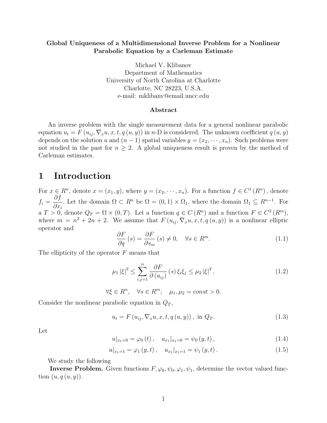#### Global Uniqueness of a Multidimensional Inverse Problem for a Nonlinear Parabolic Equation by a Carleman Estimate

Michael V. Klibanov Department of Mathematics University of North Carolina at Charlotte Charlotte, NC 28223, U.S.A. e-mail: mklibanv@email.uncc.edu

#### Abstract

An inverse problem with the single measurement data for a general nonlinear parabolic equation  $u_t = F(u_{ij}, \nabla_x u, x, t, q(u, y))$  in n-D is considered. The unknown coefficient  $q(u, y)$ depends on the solution u and  $(n-1)$  spatial variables  $y = (x_2, \dots, x_n)$ . Such problems were not studied in the past for  $n \geq 2$ . A global uniqueness result is proven by the method of Carleman estimates.

### 1 Introduction

For  $x \in R^n$ , denote  $x = (x_1, y)$ , where  $y = (x_2, \dots, x_n)$ . For a function  $f \in C^1(R^n)$ , denote  $f_i =$ ∂f  $\partial x_i$ . Let the domain  $\Omega \subset R^n$  be  $\Omega = (0,1) \times \Omega_1$ , where the domain  $\Omega_1 \subseteq R^{n-1}$ . For a  $T > 0$ , denote  $Q_T = \Omega \times (0, T)$ . Let a function  $q \in C(R^n)$  and a function  $F \in C^3(R^m)$ , where  $m = n^2 + 2n + 2$ . We assume that  $F(u_{ij}, \nabla_x u, x, t, q(u, y))$  is a nonlinear elliptic operator and

$$
\frac{\partial F}{\partial q}(s) = \frac{\partial F}{\partial s_m}(s) \neq 0, \quad \forall s \in R^m.
$$
\n(1.1)

The ellipticity of the operator  $F$  means that

$$
\mu_1 |\xi|^2 \le \sum_{i,j=1}^n \frac{\partial F}{\partial (u_{ij})} (s) \xi_i \xi_j \le \mu_2 |\xi|^2, \qquad (1.2)
$$

 $\forall \xi \in R^n, \quad \forall s \in R^m; \quad \mu_1, \mu_2 = const > 0.$ 

Consider the nonlinear parabolic equation in  $Q_T$ ,

$$
u_{t} = F(u_{ij}, \nabla_{x} u, x, t, q(u, y)), \text{ in } Q_{T}.
$$
 (1.3)

Let

$$
u|_{x_1=0} = \varphi_0(t), \quad u_{x_1}|_{x_1=0} = \psi_0(y,t), \tag{1.4}
$$

$$
u|_{x_1=1} = \varphi_1(y, t), \quad u_{x_1}|_{x_1=1} = \psi_1(y, t).
$$
 (1.5)

We study the following

**Inverse Problem.** Given functions  $F, \varphi_0, \psi_0, \varphi_1, \psi_1$ , determine the vector valued function  $(u, q(u, y))$ .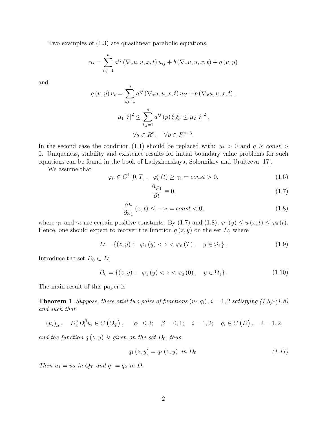Two examples of (1.3) are quasilinear parabolic equations,

$$
u_{t} = \sum_{i,j=1}^{n} a^{ij} (\nabla_{x} u, u, x, t) u_{ij} + b (\nabla_{x} u, u, x, t) + q (u, y)
$$

and

$$
q(u, y) u_t = \sum_{i,j=1}^n a^{ij} (\nabla_x u, u, x, t) u_{ij} + b (\nabla_x u, u, x, t),
$$
  

$$
\mu_1 |\xi|^2 \le \sum_{i,j=1}^n a^{ij} (p) \xi_i \xi_j \le \mu_2 |\xi|^2,
$$
  

$$
\forall s \in R^n, \quad \forall p \in R^{n+3}.
$$

In the second case the condition (1.1) should be replaced with:  $u_t > 0$  and  $q \geq const$ 0. Uniqueness, stability and existence results for initial boundary value problems for such equations can be found in the book of Ladyzhenskaya, Solonnikov and Uraltceva [17].

We assume that

$$
\varphi_0 \in C^1[0, T], \quad \varphi'_0(t) \ge \gamma_1 = const > 0,
$$
\n(1.6)

$$
\frac{\partial \varphi_1}{\partial t} \equiv 0,\tag{1.7}
$$

$$
\frac{\partial u}{\partial x_1}(x,t) \le -\gamma_2 = const < 0,
$$
\n(1.8)

where  $\gamma_1$  and  $\gamma_2$  are certain positive constants. By (1.7) and (1.8),  $\varphi_1(y) \le u(x,t) \le \varphi_0(t)$ . Hence, one should expect to recover the function  $q(z, y)$  on the set D, where

$$
D = \{(z, y): \varphi_1(y) < z < \varphi_0(T), \quad y \in \Omega_1\}.\tag{1.9}
$$

Introduce the set  $D_0 \subset D$ ,

$$
D_0 = \{(z, y): \varphi_1(y) < z < \varphi_0(0), \quad y \in \Omega_1\}.\tag{1.10}
$$

The main result of this paper is

**Theorem 1** Suppose, there exist two pairs of functions  $(u_i, q_i)$ ,  $i = 1, 2$  satisfying (1.3)-(1.8) and such that

$$
(u_i)_t
$$
,  $D_x^{\alpha}D_t^{\beta}u_i \in C(\overline{Q}_T)$ ,  $|\alpha| \leq 3$ ;  $\beta = 0, 1$ ;  $i = 1, 2$ ;  $q_i \in C(\overline{D})$ ,  $i = 1, 2$ 

and the function  $q(z, y)$  is given on the set  $D_0$ , thus

$$
q_1(z, y) = q_2(z, y) \text{ in } D_0. \tag{1.11}
$$

Then  $u_1 = u_2$  in  $Q_T$  and  $q_1 = q_2$  in D.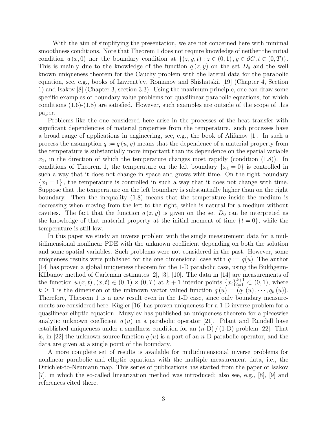With the aim of simplifying the presentation, we are not concerned here with minimal smoothness conditions. Note that Theorem 1 does not require knowledge of neither the initial condition  $u(x, 0)$  nor the boundary condition at  $\{(z, y, t) : z \in (0, 1), y \in \partial G, t \in (0, T)\}.$ This is mainly due to the knowledge of the function  $q(z, y)$  on the set  $D_0$  and the well known uniqueness theorem for the Cauchy problem with the lateral data for the parabolic equation, see, e.g., books of Lavrent'ev, Romanov and Shishatskii [19] (Chapter 4, Section 1) and Isakov [8] (Chapter 3, section 3.3). Using the maximum principle, one can draw some specific examples of boundary value problems for quasilinear parabolic equations, for which conditions  $(1.6)-(1.8)$  are satisfied. However, such examples are outside of the scope of this paper.

Problems like the one considered here arise in the processes of the heat transfer with significant dependencies of material properties from the temperature. such processes have a broad range of applications in engineering, see, e.g., the book of Alifanov [1]. In such a process the assumption  $q := q(u, y)$  means that the dependence of a material property from the temperature is substantially more important than its dependence on the spatial variable  $x_1$ , in the direction of which the temperature changes most rapidly (condition  $(1.8)$ ). In conditions of Theorem 1, the temperature on the left boundary  $\{x_1 = 0\}$  is controlled in such a way that it does not change in space and grows whit time. On the right boundary  ${x_1 = 1}$ , the temperature is controlled in such a way that it does not change with time. Suppose that the temperature on the left boundary is substantially higher than on the right boundary. Then the inequality (1.8) means that the temperature inside the medium is decreasing when moving from the left to the right, which is natural for a medium without cavities. The fact that the function  $q(z, y)$  is given on the set  $D_0$  can be interpreted as the knowledge of that material property at the initial moment of time  $\{t = 0\}$ , while the temperature is still low.

In this paper we study an inverse problem with the single measurement data for a multidimensional nonlinear PDE with the unknown coefficient depending on both the solution and some spatial variables. Such problems were not considered in the past. However, some uniqueness results were published for the one dimensional case with  $q := q(u)$ . The author [14] has proven a global uniqueness theorem for the 1-D parabolic case, using the Bukhgeim-Klibanov method of Carleman estimates [2], [3], [10]. The data in [14] are measurements of the function  $u(x,t)$ ,  $(x,t) \in (0,1) \times (0,T)$  at  $k+1$  interior points  $\{x_i\}_{i=1}^{k+1} \subset (0,1)$ , where  $k \geq 1$  is the dimension of the unknown vector valued function  $q(u) = (q_1(u), \dots, q_k(u))$ . Therefore, Theorem 1 is a new result even in the 1-D case, since only boundary measurements are considered here. Kügler  $[16]$  has proven uniqueness for a 1-D inverse problem for a quasilinear elliptic equation. Muzylev has published an uniqueness theorem for a piecewise analytic unknown coefficient  $q(u)$  in a parabolic operator [21]. Pilant and Rundell have established uniqueness under a smallness condition for an  $(n-D) / (1-D)$  problem [22]. That is, in [22] the unknown source function  $q(u)$  is a part of an n-D parabolic operator, and the data are given at a single point of the boundary.

A more complete set of results is available for multidimensional inverse problems for nonlinear parabolic and elliptic equations with the multiple measurement data, i.e., the Dirichlet-to-Neumann map. This series of publications has started from the paper of Isakov [7], in which the so-called linearization method was introduced; also see, e.g., [8], [9] and references cited there.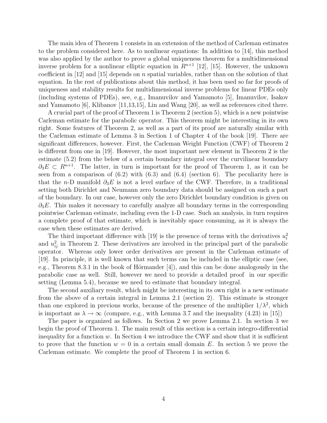The main idea of Theorem 1 consists in an extension of the method of Carleman estimates to the problem considered here. As to nonlinear equations: In addition to [14], this method was also applied by the author to prove a global uniqueness theorem for a multidimensional inverse problem for a nonlinear elliptic equation in  $R^{n+1}$  [12], [15]. However, the unknown coefficient in  $[12]$  and  $[15]$  depends on n spatial variables, rather than on the solution of that equation. In the rest of publications about this method, it has been used so far for proofs of uniqueness and stability results for multidimensional inverse problems for linear PDEs only (including systems of PDEs), see, e.g., Imanuvilov and Yamamoto [5], Imanuvilov, Isakov and Yamamoto [6], Klibanov [11,13,15], Lin and Wang [20], as well as references cited there.

A crucial part of the proof of Theorem 1 is Theorem 2 (section 5), which is a new pointwise Carleman estimate for the parabolic operator. This theorem might be interesting in its own right. Some features of Theorem 2, as well as a part of its proof are naturally similar with the Carleman estimate of Lemma 3 in Section 1 of Chapter 4 of the book [19]. There are significant differences, however. First, the Carleman Weight Function (CWF) of Theorem 2 is different from one in [19]. However, the most important new element in Theorem 2 is the estimate (5.2) from the below of a certain boundary integral over the curvilinear boundary  $\partial_3 E \subset R^{n+1}$ . The latter, in turn is important for the proof of Theorem 1, as it can be seen from a comparison of  $(6.2)$  with  $(6.3)$  and  $(6.4)$  (section 6). The peculiarity here is that the n-D manifold  $\partial_3 E$  is not a level surface of the CWF. Therefore, in a traditional setting both Dirichlet and Neumann zero boundary data should be assigned on such a part of the boundary. In our case, however only the zero Dirichlet boundary condition is given on  $\partial_3 E$ . This makes it necessary to carefully analyze all boundary terms in the corresponding pointwise Carleman estimate, including even the 1-D case. Such an analysis, in turn requires a complete proof of that estimate, which is inevitably space consuming, as it is always the case when these estimates are derived.

The third important difference with [19] is the presence of terms with the derivatives  $u_t^2$ and  $u_{ij}^2$  in Theorem 2. These derivatives are involved in the principal part of the parabolic operator. Whereas only lower order derivatives are present in the Carleman estimate of [19]. In principle, it is well known that such terms can be included in the elliptic case (see, e.g., Theorem 8.3.1 in the book of Hörmander  $[4]$ , and this can be done analogously in the parabolic case as well. Still, however we need to provide a detailed proof in our specific setting (Lemma 5.4), because we need to estimate that boundary integral.

The second auxiliary result, which might be interesting in its own right is a new estimate from the above of a certain integral in Lemma 2.1 (section 2). This estimate is stronger than one explored in previous works, because of the presence of the multiplier  $1/\lambda^2$ , which is important as  $\lambda \to \infty$  (compare, e.g., with Lemma 3.7 and the inequality (4.23) in [15])

The paper is organized as follows. In Section 2 we prove Lemma 2.1. In section 3 we begin the proof of Theorem 1. The main result of this section is a certain integro-differential inequality for a function  $w$ . In Section 4 we introduce the CWF and show that it is sufficient to prove that the function  $w = 0$  in a certain small domain E. In section 5 we prove the Carleman estimate. We complete the proof of Theorem 1 in section 6.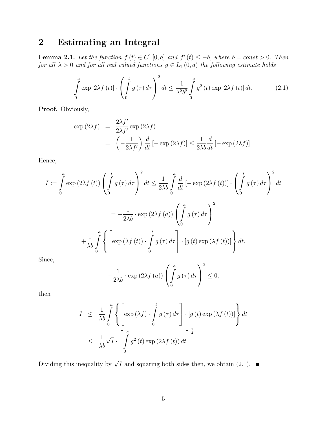# 2 Estimating an Integral

**Lemma 2.1.** Let the function  $f(t) \in C^1[0, a]$  and  $f'(t) \leq -b$ , where  $b = const > 0$ . Then for all  $\lambda > 0$  and for all real valued functions  $g \in L_2(0, a)$  the following estimate holds

$$
\int_{0}^{a} \exp\left[2\lambda f\left(t\right)\right] \cdot \left(\int_{0}^{t} g\left(\tau\right) d\tau\right)^{2} dt \le \frac{1}{\lambda^{2} b^{2}} \int_{0}^{a} g^{2}\left(t\right) \exp\left[2\lambda f\left(t\right)\right] dt. \tag{2.1}
$$

Proof. Obviously,

$$
\exp(2\lambda f) = \frac{2\lambda f'}{2\lambda f'} \exp(2\lambda f)
$$
  
=  $\left(-\frac{1}{2\lambda f'}\right) \frac{d}{dt} [-\exp(2\lambda f)] \le \frac{1}{2\lambda b} \frac{d}{dt} [-\exp(2\lambda f)].$ 

Hence,

$$
I := \int_{0}^{a} \exp(2\lambda f(t)) \left( \int_{0}^{t} g(\tau) d\tau \right)^{2} dt \le \frac{1}{2\lambda b} \int_{0}^{a} \frac{d}{dt} \left[ -\exp(2\lambda f(t)) \right] \cdot \left( \int_{0}^{t} g(\tau) d\tau \right)^{2} dt
$$

$$
= -\frac{1}{2\lambda b} \cdot \exp(2\lambda f(a)) \left( \int_{0}^{a} g(\tau) d\tau \right)^{2}
$$

$$
+ \frac{1}{\lambda b} \int_{0}^{a} \left\{ \left[ \exp(\lambda f(t)) \cdot \int_{0}^{t} g(\tau) d\tau \right] \cdot \left[ g(t) \exp(\lambda f(t)) \right] \right\} dt.
$$

Since,

$$
-\frac{1}{2\lambda b} \cdot \exp\left(2\lambda f\left(a\right)\right) \left(\int\limits_{0}^{a} g\left(\tau\right) d\tau\right)^{2} \leq 0,
$$

then

$$
I \leq \frac{1}{\lambda b} \int_{0}^{a} \left\{ \left[ \exp(\lambda f) \cdot \int_{0}^{t} g(\tau) d\tau \right] \cdot [g(t) \exp(\lambda f(t))] \right\} dt
$$
  

$$
\leq \frac{1}{\lambda b} \sqrt{I} \cdot \left[ \int_{0}^{a} g^{2}(t) \exp(2\lambda f(t)) dt \right]^{\frac{1}{2}}.
$$

Dividing this inequality by  $\sqrt{I}$  and squaring both sides then, we obtain (2.1).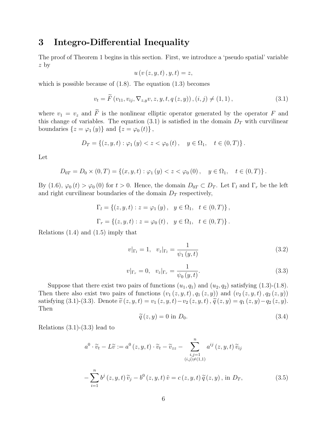### 3 Integro-Differential Inequality

The proof of Theorem 1 begins in this section. First, we introduce a 'pseudo spatial' variable z by

$$
u\left( v\left( z,y,t\right) ,y,t\right) =z,
$$

which is possible because of  $(1.8)$ . The equation  $(1.3)$  becomes

$$
v_{t} = \widetilde{F}(v_{11}, v_{ij}, \nabla_{z,y}v, z, y, t, q(z, y)), (i, j) \neq (1, 1), \qquad (3.1)
$$

where  $v_1 = v_z$  and  $\tilde{F}$  is the nonlinear elliptic operator generated by the operator F and this change of variables. The equation (3.1) is satisfied in the domain  $D_T$  with curvilinear boundaries  $\{z = \varphi_1(y)\}\$ and  $\{z = \varphi_0(t)\}\$ ,

$$
D_T = \{(z, y, t) : \varphi_1(y) < z < \varphi_0(t), \quad y \in \Omega_1, \quad t \in (0, T)\}.
$$

Let

$$
D_{0T} = D_0 \times (0,T) = \left\{ (x, y, t) : \varphi_1 \left( y \right) < z < \varphi_0 \left( 0 \right), \quad y \in \Omega_1, \quad t \in (0,T) \right\}.
$$

By (1.6),  $\varphi_0(t) > \varphi_0(0)$  for  $t > 0$ . Hence, the domain  $D_{0T} \subset D_T$ . Let  $\Gamma_l$  and  $\Gamma_r$  be the left and right curvilinear boundaries of the domain  $D<sub>T</sub>$  respectively,

$$
\Gamma_l = \{ (z, y, t) : z = \varphi_1(y), y \in \Omega_1, t \in (0, T) \},
$$
  

$$
\Gamma_r = \{ (z, y, t) : z = \varphi_0(t), y \in \Omega_1, t \in (0, T) \}.
$$

Relations (1.4) and (1.5) imply that

$$
v|_{\Gamma_l} = 1, \quad v_z|_{\Gamma_l} = \frac{1}{\psi_1(y, t)}\tag{3.2}
$$

$$
v|_{\Gamma_r} = 0, \quad v_z|_{\Gamma_r} = \frac{1}{\psi_0(y, t)}.\tag{3.3}
$$

Suppose that there exist two pairs of functions  $(u_1, q_1)$  and  $(u_2, q_2)$  satisfying  $(1.3)-(1.8)$ . Then there also exist two pairs of functions  $(v_1(z, y, t), q_1(z, y))$  and  $(v_2(z, y, t), q_2(z, y))$ satisfying (3.1)-(3.3). Denote  $\tilde{v}(z, y, t) = v_1(z, y, t) - v_2(z, y, t)$ ,  $\tilde{q}(z, y) = q_1(z, y) - q_2(z, y)$ . Then

$$
\widetilde{q}(z,y) = 0 \text{ in } D_0. \tag{3.4}
$$

Relations  $(3.1)-(3.3)$  lead to

$$
a^{0} \cdot \widetilde{v}_{t} - L\widetilde{v} := a^{0}(z, y, t) \cdot \widetilde{v}_{t} - \widetilde{v}_{zz} - \sum_{\substack{i,j=1 \ (i,j)\neq(1,1)}}^{n} a^{ij}(z, y, t) \widetilde{v}_{ij}
$$

$$
= \sum_{j=1}^{n} b^{j}(z, y, t) \widetilde{v}_{j} - b^{0}(z, y, t) \widetilde{v}_{j} = c(z, y, t) \widetilde{a}(z, y) \text{ in } D_{x}
$$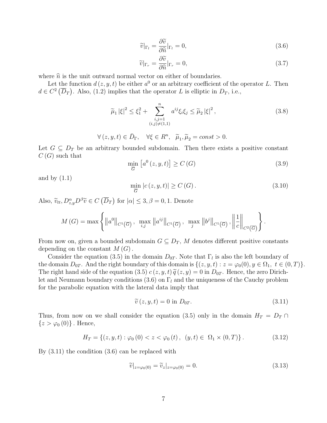$$
\widetilde{v}|_{\Gamma_l} = \frac{\partial \widetilde{v}}{\partial \widehat{n}}|_{\Gamma_l} = 0,\tag{3.6}
$$

$$
\widetilde{v}|_{\Gamma_r} = \frac{\partial \widetilde{v}}{\partial \widehat{n}}|_{\Gamma_r} = 0,\tag{3.7}
$$

where  $\hat{n}$  is the unit outward normal vector on either of boundaries.

Let the function  $d(z, y, t)$  be either  $a^0$  or an arbitrary coefficient of the operator L. Then  $d \in C^2(\overline{D}_T)$ . Also, (1.2) implies that the operator L is elliptic in  $D_T$ , i.e.,

$$
\widetilde{\mu}_1 |\xi|^2 \le \xi_1^2 + \sum_{\substack{i,j=1 \ (i,j)\ne(1,1)}}^n a^{ij} \xi_i \xi_j \le \widetilde{\mu}_2 |\xi|^2, \tag{3.8}
$$

$$
\forall (z, y, t) \in \bar{D}_{\Gamma}, \quad \forall \xi \in R^{n}, \quad \tilde{\mu}_{1}, \tilde{\mu}_{2} = const > 0.
$$

Let  $G \subseteq D_T$  be an arbitrary bounded subdomain. Then there exists a positive constant  $C(G)$  such that £ l<br>E

$$
\min_{\overline{G}} [a^0(z, y, t)] \ge C(G) \tag{3.9}
$$

and by  $(1.1)$ 

$$
\min_{\overline{G}} |c(z, y, t)| \ge C(G). \tag{3.10}
$$

Also,  $\widetilde{v}_{tt}, D_{z,y}^{\alpha}D^{\beta}\widetilde{v} \in C$ ¡  $\overline{D}_T$ ¢ for  $|\alpha| \leq 3, \beta = 0, 1$ . Denote

$$
M(G) = \max \left\{ ||a^0||_{C^1(\overline{G})}, \ \max_{i,j} ||a^{ij}||_{C^1(\overline{G})}, \ \max_{j} ||b^j||_{C^1(\overline{G})}, \left\| \frac{1}{c} \right\|_{C^2(\overline{G})} \right\}.
$$

From now on, given a bounded subdomain  $G \subseteq D_T$ , M denotes different positive constants depending on the constant  $M(G)$ .

Consider the equation (3.5) in the domain  $D_{0T}$ . Note that  $\Gamma_l$  is also the left boundary of the domain  $D_{0T}$ . And the right boundary of this domain is  $\{(z, y, t) : z = \varphi_0(0), y \in \Omega_1, t \in (0, T)\}.$ The right hand side of the equation (3.5)  $c(z, y, t) \tilde{q}(z, y) = 0$  in  $D_{0T}$ . Hence, the zero Dirichlet and Neumann boundary conditions (3.6) on  $\Gamma_l$  and the uniqueness of the Cauchy problem for the parabolic equation with the lateral data imply that

$$
\widetilde{v}(z, y, t) = 0 \text{ in } D_{0T}.\tag{3.11}
$$

Thus, from now on we shall consider the equation (3.5) only in the domain  $H_T = D_T \cap$  $\{z > \varphi_0(0)\}\.$  Hence,

$$
H_T = \{(z, y, t) : \varphi_0(0) < z < \varphi_0(t), \ (y, t) \in \ \Omega_1 \times (0, T) \} \,. \tag{3.12}
$$

By (3.11) the condition (3.6) can be replaced with

$$
\widetilde{v}|_{z=\varphi_0(0)} = \widetilde{v}_z|_{z=\varphi_0(0)} = 0. \tag{3.13}
$$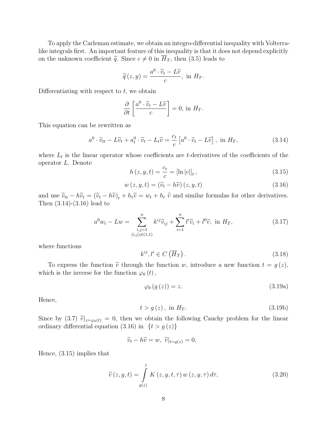To apply the Carleman estimate, we obtain an integro-differential inequality with Volterralike integrals first. An important feature of this inequality is that it does not depend explicitly on the unknown coefficient  $\tilde{q}$ . Since  $c \neq 0$  in  $\overline{H}_T$ , then (3.5) leads to

$$
\widetilde{q}(z,y) = \frac{a^0 \cdot \widetilde{v}_t - L\widetilde{v}}{c}, \text{ in } H_T.
$$

Differentiating with respect to  $t$ , we obtain

$$
\frac{\partial}{\partial t} \left[ \frac{a^0 \cdot \widetilde{v}_t - L\widetilde{v}}{c} \right] = 0, \text{ in } H_T.
$$

This equation can be rewritten as

$$
a^{0} \cdot \widetilde{v}_{tt} - L\widetilde{v}_{t} + a_{t}^{0} \cdot \widetilde{v}_{t} - L_{t}\widetilde{v} = \frac{c_{t}}{c} \left[ a^{0} \cdot \widetilde{v}_{t} - L\widetilde{v} \right], \text{ in } H_{T}, \tag{3.14}
$$

where  $L_t$  is the linear operator whose coefficients are t-derivatives of the coefficients of the operator L. Denote

$$
h(z, y, t) = \frac{c_t}{c} = [\ln |c|]_t, \qquad (3.15)
$$

$$
w(z, y, t) = (\widetilde{v}_t - h\widetilde{v}) (z, y, t)
$$
\n(3.16)

and use  $\tilde{v}_{tt} - h\tilde{v}_t = (\tilde{v}_t - h\tilde{v})_t + h_t\tilde{v} = w_t + h_t\tilde{v}$  and similar formulas for other derivatives. Then (3.14)-(3.16) lead to

$$
a^{0}w_{t} - Lw = \sum_{\substack{i,j=1\\(i,j)\neq(1,1)}}^{n} k^{ij}\widetilde{v}_{ij} + \sum_{i=1}^{n} l^{i}\widetilde{v}_{i} + l^{0}\widetilde{v}, \text{ in } H_{T}, \qquad (3.17)
$$

where functions

$$
k^{ij}, l^i \in C\left(\overline{H}_T\right). \tag{3.18}
$$

To express the function  $\tilde{v}$  through the function w, introduce a new function  $t = g(z)$ , which is the inverse for the function  $\varphi_0(t)$ ,

$$
\varphi_0(g(z)) = z. \tag{3.19a}
$$

Hence,

$$
t > g(z), \text{ in } H_T. \tag{3.19b}
$$

Since by (3.7)  $\tilde{v}|_{z=\varphi_0(t)} = 0$ , then we obtain the following Cauchy problem for the linear ordinary differential equation (3.16) in  $\{t > g(z)\}\$ 

$$
\widetilde{v}_t - h\widetilde{v} = w, \ \widetilde{v}|_{t=g(z)} = 0,
$$

Hence, (3.15) implies that

$$
\widetilde{v}(z, y, t) = \int_{g(z)}^{t} K(z, y, t, \tau) w(z, y, \tau) d\tau,
$$
\n(3.20)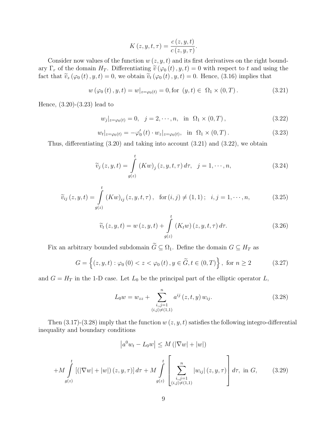$$
K(z, y, t, \tau) = \frac{c(z, y, t)}{c(z, y, \tau)}.
$$

Consider now values of the function  $w(z, y, t)$  and its first derivatives on the right boundary  $\Gamma_r$  of the domain  $H_T$ . Differentiating  $\tilde{v}(\varphi_0(t), y, t) = 0$  with respect to t and using the fact that  $\tilde{v}_z(\varphi_0(t), y, t) = 0$ , we obtain  $\tilde{v}_t(\varphi_0(t), y, t) = 0$ . Hence, (3.16) implies that

$$
w(\varphi_0(t), y, t) = w|_{z = \varphi_0(t)} = 0, \text{for } (y, t) \in \Omega_1 \times (0, T). \tag{3.21}
$$

Hence, (3.20)-(3.23) lead to

$$
w_j|_{z=\varphi_0(t)} = 0, \quad j = 2, \cdots, n, \quad \text{in} \quad \Omega_1 \times (0, T), \tag{3.22}
$$

.

$$
w_t|_{z=\varphi_0(t)} = -\varphi'_0(t) \cdot w_z|_{z=\varphi_0(t)}, \text{ in } \Omega_1 \times (0,T). \tag{3.23}
$$

Thus, differentiating (3.20) and taking into account (3.21) and (3.22), we obtain

$$
\widetilde{v}_j(z, y, t) = \int\limits_{g(z)}^t (Kw)_j(z, y, t, \tau) d\tau, \quad j = 1, \cdots, n,
$$
\n(3.24)

$$
\widetilde{v}_{ij}(z, y, t) = \int_{g(z)}^{t} (Kw)_{ij}(z, y, t, \tau), \text{ for } (i, j) \neq (1, 1); \quad i, j = 1, \cdots, n,
$$
\n(3.25)

$$
\widetilde{v}_t(z, y, t) = w(z, y, t) + \int\limits_{g(z)}^t (K_t w)(z, y, t, \tau) d\tau.
$$
\n(3.26)

Fix an arbitrary bounded subdomain  $\widetilde{G} \subseteq \Omega_1$ . Define the domain  $G \subseteq H_T$  as

$$
G = \left\{ (z, y, t) : \varphi_0(0) < z < \varphi_0(t), y \in \widetilde{G}, t \in (0, T) \right\}, \text{ for } n \ge 2 \tag{3.27}
$$

and  $G = H_T$  in the 1-D case. Let  $L_0$  be the principal part of the elliptic operator  $L$ ,

$$
L_0 w = w_{zz} + \sum_{\substack{i,j=1 \ (i,j) \neq (1,1)}}^n a^{ij} (z, t, y) w_{ij}.
$$
 (3.28)

Then  $(3.17)-(3.28)$  imply that the function  $w(z, y, t)$  satisfies the following integro-differential inequality and boundary conditions

$$
\left| a^{0} w_{t} - L_{0} w \right| \leq M \left( |\nabla w| + |w| \right)
$$
  
+M 
$$
\int_{g(z)}^{t} \left[ \left( |\nabla w| + |w| \right) (z, y, \tau) \right] d\tau + M \int_{g(z)}^{t} \left[ \sum_{\substack{i,j=1 \\ (i,j) \neq (1,1)}}^{n} |w_{ij}| (z, y, \tau) \right] d\tau, \text{ in } G, \qquad (3.29)
$$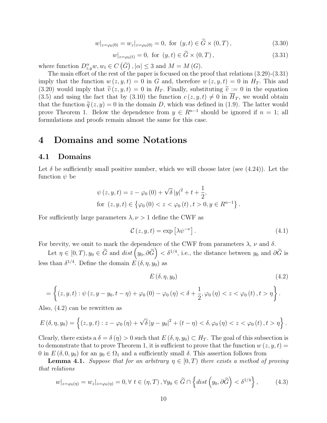$$
w|_{z=\varphi_0(0)} = w_z|_{z=\varphi_0(0)} = 0, \text{ for } (y, t) \in \tilde{G} \times (0, T), \tag{3.30}
$$

$$
w|_{z=\varphi_0(t)} = 0, \text{ for } (y, t) \in \widetilde{G} \times (0, T), \qquad (3.31)
$$

where function  $D_{z,y}^{\alpha}w, w_t \in C$  $\stackrel{\sim}{(G)}$  $, |\alpha| \leq 3$  and  $M = M(G)$ .

The main effort of the rest of the paper is focused on the proof that relations (3.29)-(3.31) imply that the function  $w(z, y, t) = 0$  in G and, therefore  $w(z, y, t) = 0$  in  $H_T$ . This and (3.20) would imply that  $\tilde{v}(z, y, t) = 0$  in  $H_T$ . Finally, substituting  $\tilde{v} := 0$  in the equation (3.5) and using the fact that by (3.10) the function  $c(z, y, t) \neq 0$  in  $\overline{H}_T$ , we would obtain that the function  $\tilde{q}(z, y) = 0$  in the domain D, which was defined in (1.9). The latter would prove Theorem 1. Below the dependence from  $y \in R^{n-1}$  should be ignored if  $n = 1$ ; all formulations and proofs remain almost the same for this case.

### 4 Domains and some Notations

### 4.1 Domains

Let  $\delta$  be sufficiently small positive number, which we will choose later (see (4.24)). Let the function  $\psi$  be

$$
\psi(z, y, t) = z - \varphi_0(0) + \sqrt{\delta} |y|^2 + t + \frac{1}{2},
$$
  
for  $(z, y, t) \in \{ \varphi_0(0) < z < \varphi_0(t), t > 0, y \in R^{n-1} \}.$ 

For sufficiently large parameters  $\lambda, \nu > 1$  define the CWF as

$$
\mathcal{C}(z, y, t) = \exp\left[\lambda \psi^{-\nu}\right]. \tag{4.1}
$$

For brevity, we omit to mark the dependence of the CWF from parameters  $\lambda$ ,  $\nu$  and  $\delta$ .

brevity, we omit to mark the dependence of the CWF from parameters  $\lambda$ ,  $\nu$  and  $\delta$ .<br>Let  $\eta \in [0, T)$ ,  $y_0 \in \tilde{G}$  and  $dist(y_0, \partial \tilde{G}) < \delta^{1/4}$ , i.e., the distance between  $y_0$  and  $\partial \tilde{G}$  is less than  $\delta^{1/4}$ . Define the domain  $E(\delta, \eta, y_0)$  as

$$
E\left(\delta, \eta, y_0\right) \tag{4.2}
$$

$$
= \left\{(z, y, t) : \psi(z, y - y_0, t - \eta) + \varphi_0(0) - \varphi_0(\eta) < \delta + \frac{1}{2}, \varphi_0(\eta) < z < \varphi_0(t), t > \eta \right\}.
$$

Also, (4.2) can be rewritten as

$$
E(\delta, \eta, y_0) = \left\{ (z, y, t) : z - \varphi_0(\eta) + \sqrt{\delta} |y - y_0|^2 + (t - \eta) < \delta, \varphi_0(\eta) < z < \varphi_0(t), t > \eta \right\}.
$$

Clearly, there exists a  $\delta = \delta(\eta) > 0$  such that  $E(\delta, \eta, y_0) \subset H_T$ . The goal of this subsection is to demonstrate that to prove Theorem 1, it is sufficient to prove that the function  $w(z, y, t) =$ 0 in  $E(\delta, 0, y_0)$  for an  $y_0 \in \Omega_1$  and a sufficiently small  $\delta$ . This assertion follows from

**Lemma 4.1.** Suppose that for an arbitrary  $\eta \in [0, T)$  there exists a method of proving that relations

$$
w|_{z=\varphi_0(\eta)} = w_z|_{z=\varphi_0(\eta)} = 0, \forall t \in (\eta, T), \forall y_0 \in \widetilde{G} \cap \left\{ dist \left( y_0, \partial \widetilde{G} \right) < \delta^{1/4} \right\},\tag{4.3}
$$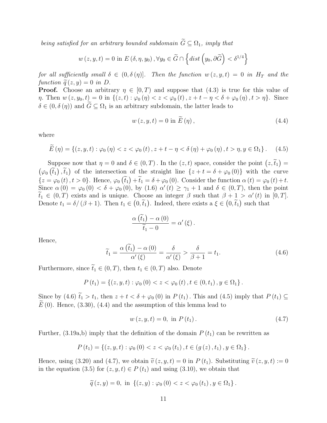being satisfied for an arbitrary bounded subdomain  $\widetilde{G} \subseteq \Omega_1$ , imply that

$$
w(z, y, t) = 0
$$
 in  $E(\delta, \eta, y_0), \forall y_0 \in \widetilde{G} \cap \left\{ dist \left( y_0, \partial \widetilde{G} \right) < \delta^{1/4} \right\}$ 

for all sufficiently small  $\delta \in (0, \delta(\eta))$ . Then the function  $w(z, y, t) = 0$  in  $H_T$  and the function  $\tilde{q}(z, y) = 0$  in D.

**Proof.** Choose an arbitrary  $\eta \in [0, T)$  and suppose that (4.3) is true for this value of  $\eta$ . Then  $w(z, y_0, t) = 0$  in  $\{(z, t) : \varphi_0(\eta) < z < \varphi_0(t), z + t - \eta < \delta + \varphi_0(\eta), t > \eta\}$ . Since  $\delta \in (0, \delta(\eta))$  and  $G \subseteq \Omega_1$  is an arbitrary subdomain, the latter leads to

$$
w(z, y, t) = 0 \text{ in } \widetilde{E}(\eta), \qquad (4.4)
$$

where

$$
\widetilde{E}(\eta) = \left\{ (z, y, t) : \varphi_0(\eta) < z < \varphi_0(t), z + t - \eta < \delta(\eta) + \varphi_0(\eta), t > \eta, y \in \Omega_1 \right\}. \tag{4.5}
$$

Suppose now that  $\eta = 0$  and  $\delta \in (0, T)$ . In the  $(z, t)$  space, consider the point  $(z, \tilde{t}_1)$ Suppose now that  $\eta = 0$  and  $\delta \in (0, T)$ . In the  $(z, t)$  space, consider the point  $(z, t_1) = (z, \tilde{z})$  $\varphi_0(\tilde{t}_1), \tilde{t}_1$  of the intersection of the straight line  $\{z + t = \delta + \varphi_0(0)\}\$  with the curve  ${z = \varphi_0(t), t > 0}.$  Hence,  $\varphi_0(\tilde{t}_1) + \tilde{t}_1 = \delta + \varphi_0(0)$ . Consider the function  $\alpha(t) = \varphi_0(t) + t$ . Since  $\alpha(0) = \varphi_0(0) < \delta + \varphi_0(0)$ , by  $(1.6)$   $\alpha'(t) \geq \gamma_1 + 1$  and  $\delta \in (0,T)$ , then the point  $\widetilde{t}_1 \in (0,T)$  exists and is unique. Choose an integer  $\beta$  such that  $\beta + 1 > \alpha'(t)$  in  $[0,T]$ . Denote  $t_1 = \delta/(\beta + 1)$ . Then  $t_1 \in (0, \tilde{t}_1)$ . Indeed, there exists a  $\xi \in (0, \tilde{t}_1)$  such that

$$
\frac{\alpha(\widetilde{t}_1)-\alpha(0)}{\widetilde{t}_1-0}=\alpha'(\xi).
$$

Hence,

$$
\widetilde{t}_1 = \frac{\alpha(\widetilde{t}_1) - \alpha(0)}{\alpha'(\xi)} = \frac{\delta}{\alpha'(\xi)} > \frac{\delta}{\beta + 1} = t_1.
$$
\n(4.6)

Furthermore, since  $\tilde{t}_1 \in (0, T)$ , then  $t_1 \in (0, T)$  also. Denote

$$
P(t_1) = \left\{ (z, y, t) : \varphi_0(0) < z < \varphi_0(t), t \in (0, t_1), y \in \Omega_1 \right\}.
$$

Since by (4.6)  $\tilde{t}_1 > t_1$ , then  $z + t < \delta + \varphi_0(0)$  in  $P(t_1)$ . This and (4.5) imply that  $P(t_1) \subseteq$  $E(0)$ . Hence, (3.30), (4.4) and the assumption of this lemma lead to

$$
w(z, y, t) = 0, \text{ in } P(t_1). \tag{4.7}
$$

Further, (3.19a,b) imply that the definition of the domain  $P(t_1)$  can be rewritten as

$$
P(t_1) = \left\{ (z, y, t) : \varphi_0(0) < z < \varphi_0(t_1), t \in (g(z), t_1), y \in \Omega_1 \right\}.
$$

Hence, using (3.20) and (4.7), we obtain  $\tilde{v}(z, y, t) = 0$  in  $P(t_1)$ . Substituting  $\tilde{v}(z, y, t) := 0$ in the equation (3.5) for  $(z, y, t) \in P(t_1)$  and using (3.10), we obtain that

$$
\widetilde{q}(z,y) = 0
$$
, in  $\{(z,y) : \varphi_0(0) < z < \varphi_0(t_1), y \in \Omega_1\}$ .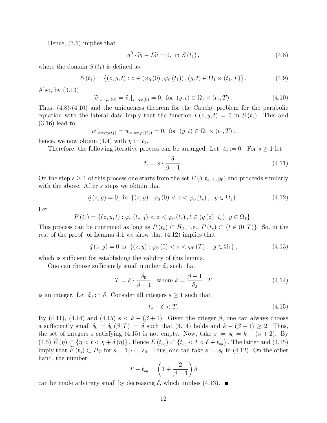Hence, (3.5) implies that

$$
a^{0} \cdot \widetilde{v}_{t} - L\widetilde{v} = 0, \text{ in } S(t_{1}), \qquad (4.8)
$$

where the domain  $S(t_1)$  is defined as

$$
S(t_1) = \{(z, y, t) : z \in (\varphi_0(0), \varphi_0(t_1)), (y, t) \in \Omega_1 \times (t_1, T)\}.
$$
 (4.9)

Also, by (3.13)

$$
\widetilde{v}|_{z=\varphi_0(0)} = \widetilde{v}_z|_{z=\varphi_0(0)} = 0, \text{ for } (y, t) \in \Omega_1 \times (t_1, T). \tag{4.10}
$$

Thus, (4.8)-(4.10) and the uniqueness theorem for the Cauchy problem for the parabolic equation with the lateral data imply that the function  $\tilde{v}(z, y, t) = 0$  in  $S(t_1)$ . This and (3.16) lead to

$$
w|_{z=\varphi_0(t_1)} = w_z|_{z=\varphi_0(t_1)} = 0
$$
, for  $(y, t) \in \Omega_1 \times (t_1, T)$ .

hence, we now obtain (4.4) with  $\eta := t_1$ .

Therefore, the following iterative process can be arranged. Let  $t_0 := 0$ . For  $s \ge 1$  let

$$
t_s = s \cdot \frac{\delta}{\beta + 1}.\tag{4.11}
$$

On the step  $s \geq 1$  of this process one starts from the set  $E(\delta, t_{s-1}, y_0)$  and proceeds similarly with the above. After s steps we obtain that

$$
\widetilde{q}(z, y) = 0, \text{ in } \{ (z, y) : \varphi_0(0) < z < \varphi_0(t_s), \ y \in \Omega_1 \}. \tag{4.12}
$$

Let

$$
P(t_s) = \{(z, y, t) : \varphi_0(t_{s-1}) < z < \varphi_0(t_s), t \in (g(z), t_s), y \in \Omega_1\}.
$$

This process can be continued as long as  $P(t_s) \subset H_T$ , i.e.,  $P(t_s) \subset \{t \in (0,T)\}\.$  So, in the rest of the proof of Lemma 4.1 we show that (4.12) implies that

$$
\widetilde{q}(z,y) = 0 \text{ in } \{ (z,y) : \varphi_0(0) < z < \varphi_0(T), \ y \in \Omega_1 \},\tag{4.13}
$$

which is sufficient for establishing the validity of this lemma.

One can choose sufficiently small number  $\delta_0$  such that

$$
T = k \cdot \frac{\delta_0}{\beta + 1}, \text{ where } k = \frac{\beta + 1}{\delta_0} \cdot T \tag{4.14}
$$

is an integer. Let  $\delta_0 := \delta$ . Consider all integers  $s \geq 1$  such that

$$
t_s + \delta < T. \tag{4.15}
$$

By (4.11), (4.14) and (4.15)  $s < k - (\beta + 1)$ . Given the integer  $\beta$ , one can always choose a sufficiently small  $\delta_0 = \delta_0 (\beta, T) := \delta$  such that (4.14) holds and  $k - (\beta + 1) \geq 2$ . Thus, the set of integers s satisfying (4.15) is not empty. Now, take  $s := s_0 = k - (\beta + 2)$ . By  $(4.5) \widetilde{E}(\eta) \subset \{\eta < t < \eta + \delta(\eta)\}\.$  Hence  $\widetilde{E}(t_{s_0}) \subset \{t_{s_0} < t < \delta + t_{s_0}\}\.$  The latter and  $(4.15)$ imply that  $\widetilde{E}(t_s) \subset H_T$  for  $s = 1, \dots, s_0$ . Thus, one can take  $s := s_0$  in (4.12). On the other hand, the number  $\overline{a}$ 

$$
T - t_{s_0} = \left(1 + \frac{2}{\beta + 1}\right)\delta
$$

can be made arbitrary small by decreasing  $\delta$ , which implies (4.13).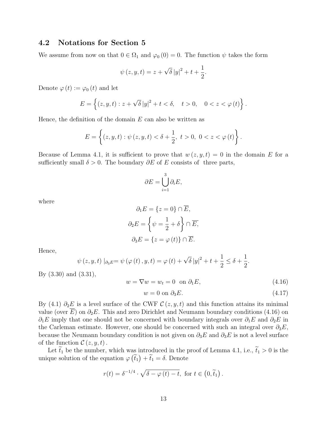### 4.2 Notations for Section 5

We assume from now on that  $0 \in \Omega_1$  and  $\varphi_0(0) = 0$ . The function  $\psi$  takes the form

$$
\psi(z, y, t) = z + \sqrt{\delta} |y|^2 + t + \frac{1}{2}.
$$

Denote  $\varphi(t) := \varphi_0(t)$  and let

$$
E = \left\{ (z, y, t) : z + \sqrt{\delta} |y|^2 + t < \delta, \quad t > 0, \quad 0 < z < \varphi(t) \right\}.
$$

Hence, the definition of the domain  $E$  can also be written as

$$
E = \left\{ (z, y, t) : \psi(z, y, t) < \delta + \frac{1}{2}, t > 0, 0 < z < \varphi(t) \right\}.
$$

Because of Lemma 4.1, it is sufficient to prove that  $w(z, y, t) = 0$  in the domain E for a sufficiently small  $\delta > 0$ . The boundary  $\partial E$  of E consists of three parts,

$$
\partial E = \bigcup_{i=1}^{3} \partial_i E,
$$

where

$$
\partial_1 E = \{z = 0\} \cap \overline{E},
$$

$$
\partial_2 E = \left\{\psi = \frac{1}{2} + \delta\right\} \cap \overline{E},
$$

$$
\partial_3 E = \{z = \varphi(t)\} \cap \overline{E}.
$$

Hence,

$$
\psi(z, y, t) |_{\partial_3 E} = \psi(\varphi(t), y, t) = \varphi(t) + \sqrt{\delta} |y|^2 + t + \frac{1}{2} \le \delta + \frac{1}{2}.
$$

By (3.30) and (3.31),

$$
w = \nabla w = w_t = 0 \quad \text{on } \partial_1 E,\tag{4.16}
$$

$$
w = 0 \text{ on } \partial_3 E. \tag{4.17}
$$

By (4.1)  $\partial_2 E$  is a level surface of the CWF  $\mathcal{C}(z, y, t)$  and this function attains its minimal value (over E) on  $\partial_2 E$ . This and zero Dirichlet and Neumann boundary conditions (4.16) on  $\partial_1 E$  imply that one should not be concerned with boundary integrals over  $\partial_1 E$  and  $\partial_2 E$  in the Carleman estimate. However, one should be concerned with such an integral over  $\partial_3 E$ , because the Neumann boundary condition is not given on  $\partial_3 E$  and  $\partial_3 E$  is not a level surface of the function  $\mathcal{C}(z, y, t)$ .

Let  $\tilde{t}_1$  be the number, which was introduced in the proof of Lemma 4.1, i.e.,  $\tilde{t}_1 > 0$  is the unique solution of the equation  $\varphi(\tilde{t}_1) + \tilde{t}_1 = \delta$ . Denote

$$
r(t) = \delta^{-1/4} \cdot \sqrt{\delta - \varphi(t) - t}, \text{ for } t \in (0, \tilde{t}_1).
$$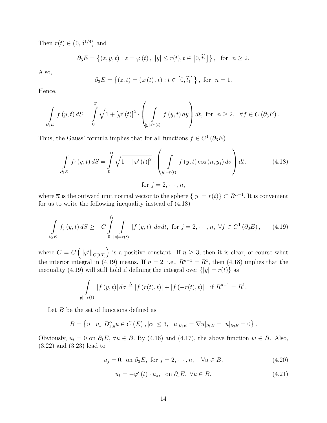Then  $r(t) \in$ ¡  $0, \delta^{1/4}$ ¢ and

$$
\partial_3 E = \{(z, y, t) : z = \varphi(t), |y| \le r(t), t \in [0, \tilde{t}_1] \},
$$
 for  $n \ge 2$ .

Also,

$$
\partial_3 E = \{(z, t) = (\varphi(t), t) : t \in [0, \tilde{t}_1] \}
$$
, for  $n = 1$ .

Hence,

$$
\int_{\partial_{3}E} f(y,t) dS = \int_{0}^{\tilde{t}_{1}} \sqrt{1 + \left[\varphi'(t)\right]^{2}} \cdot \left(\int_{|y| < r(t)} f(y,t) dy\right) dt, \text{ for } n \ge 2, \forall f \in C\left(\partial_{3}E\right).
$$

Thus, the Gauss' formula implies that for all functions  $f \in C^1(\partial_3 E)$ 

$$
\int_{\partial_3 E} f_j(y, t) dS = \int_0^{\tilde{t}_1} \sqrt{1 + \left[\varphi'(t)\right]^2} \cdot \left(\int_{|y|=r(t)} f(y, t) \cos(\overline{n}, y_j) d\sigma\right) dt, \tag{4.18}
$$

for  $j = 2, \dots, n$ ,

where  $\bar{n}$  is the outward unit normal vector to the sphere  $\{|y|=r(t)\}\subset R^{n-1}$ . It is convenient for us to write the following inequality instead of (4.18)

$$
\int_{\partial_{3}E} f_{j}(y,t) dS \geq -C \int_{0}^{\tilde{t}_{1}} \int_{|y|=r(t)} |f(y,t)| d\sigma dt, \text{ for } j=2,\dots,n, \forall f \in C^{1}(\partial_{3}E), \qquad (4.19)
$$

where  $C = C$  $\overline{a}$  $\|\varphi'\|_{C[0,T]}$ ´ is a positive constant. If  $n \geq 3$ , then it is clear, of course what the interior integral in (4.19) means. If  $n = 2$ , i.e.,  $R^{n-1} = R^1$ , then (4.18) implies that the inequality (4.19) will still hold if defining the integral over  $\{|y| = r(t)\}$  as

$$
\int_{|y|=r(t)} |f(y,t)| d\sigma \stackrel{\Delta}{=} |f(r(t),t)| + |f(-r(t),t)|, \text{ if } R^{n-1} = R^1.
$$

Let  $B$  be the set of functions defined as

$$
B = \left\{ u : u_t, D_{z,y}^{\alpha} u \in C\left(\overline{E}\right), |\alpha| \leq 3, \ \ u|_{\partial_1 E} = \nabla u|_{\partial_1 E} = u|_{\partial_3 E} = 0 \right\}.
$$

Obviously,  $u_t = 0$  on  $\partial_1 E$ ,  $\forall u \in B$ . By (4.16) and (4.17), the above function  $w \in B$ . Also, (3.22) and (3.23) lead to

$$
u_j = 0, \text{ on } \partial_3 E, \text{ for } j = 2, \cdots, n, \quad \forall u \in B. \tag{4.20}
$$

$$
u_t = -\varphi'(t) \cdot u_z, \quad \text{on } \partial_3 E, \ \forall u \in B. \tag{4.21}
$$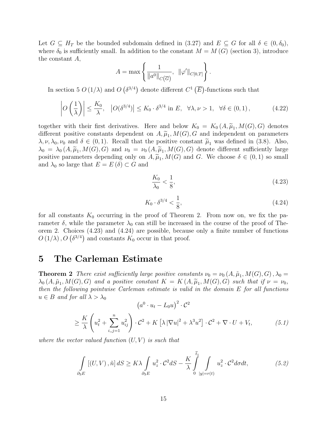Let  $G \subseteq H_T$  be the bounded subdomain defined in (3.27) and  $E \subseteq G$  for all  $\delta \in (0, \delta_0)$ , where  $\delta_0$  is sufficiently small. In addition to the constant  $M = M(G)$  (section 3), introduce the constant A,  $\mathbf{r}$ 

$$
A = \max \left\{ \frac{1}{\|a^0\|_{C(\overline{G})}}, \ \|\varphi'\|_{C[0,T]} \right\}.
$$

In section 5  $O(1/\lambda)$  and O  $\delta^{3/4}$ denote different  $C^1$  (  $\overline{E}$ -functions such that

$$
\left| O\left(\frac{1}{\lambda}\right) \right| \le \frac{K_0}{\lambda}, \quad \left| O(\delta^{3/4}) \right| \le K_0 \cdot \delta^{3/4} \text{ in } E, \quad \forall \lambda, \nu > 1, \quad \forall \delta \in (0, 1), \tag{4.22}
$$

together with their first derivatives. Here and below  $K_0 = K_0(A, \tilde{\mu}_1, M(G), G)$  denotes different positive constants dependent on  $A, \tilde{\mu}_1, M(G), G$  and independent on parameters  $\lambda, \nu, \lambda_0, \nu_0$  and  $\delta \in (0, 1)$ . Recall that the positive constant  $\tilde{\mu}_1$  was defined in (3.8). Also,  $\lambda_0 = \lambda_0(A, \tilde{\mu}_1, M(G), G)$  and  $\nu_0 = \nu_0(A, \tilde{\mu}_1, M(G), G)$  denote different sufficiently large positive parameters depending only on  $A, \tilde{\mu}_1, M(G)$  and G. We choose  $\delta \in (0,1)$  so small and  $\lambda_0$  so large that  $E = E(\delta) \subset G$  and

$$
\frac{K_0}{\lambda_0} < \frac{1}{8},\tag{4.23}
$$

$$
K_0 \cdot \delta^{3/4} < \frac{1}{8},\tag{4.24}
$$

for all constants  $K_0$  occurring in the proof of Theorem 2. From now on, we fix the parameter  $\delta$ , while the parameter  $\lambda_0$  can still be increased in the course of the proof of Theorem 2. Choices  $(4.23)$  and  $(4.24)$  are possible, because only a finite number of functions orem 2. Choices (4.25) and (4.24) are possible, because  $O(1/\lambda)$ ,  $O(\delta^{3/4})$  and constants  $K_0$  occur in that proof.

### 5 The Carleman Estimate

**Theorem 2** There exist sufficiently large positive constants  $\nu_0 = \nu_0(A, \tilde{\mu}_1, M(G), G), \lambda_0 =$  $\lambda_0(A, \tilde{\mu}_1, M(G), G)$  and a positive constant  $K = K(A, \tilde{\mu}_1, M(G), G)$  such that if  $\nu = \nu_0$ , then the following pointwise Carleman estimate is valid in the domain E for all functions  $u \in B$  and for all  $\lambda > \lambda_0$ ¡  $\sqrt{2}$ 

$$
(a^{0} \cdot u_{t} - L_{0}u)^{2} \cdot C^{2}
$$
  
\n
$$
\geq \frac{K}{\lambda} \left(u_{t}^{2} + \sum_{i,j=1}^{n} u_{ij}^{2}\right) \cdot C^{2} + K\left[\lambda |\nabla u|^{2} + \lambda^{3} u^{2}\right] \cdot C^{2} + \nabla \cdot U + V_{t}, \tag{5.1}
$$

where the vector valued function  $(U, V)$  is such that

$$
\int_{\partial_3 E} [(U, V), \tilde{n}] dS \ge K\lambda \int_{\partial_3 E} u_z^2 \cdot C^2 dS - \frac{K}{\lambda} \int_{0}^{\tilde{t}_1} \int_{|y|=r(t)} u_z^2 \cdot C^2 d\sigma dt, \tag{5.2}
$$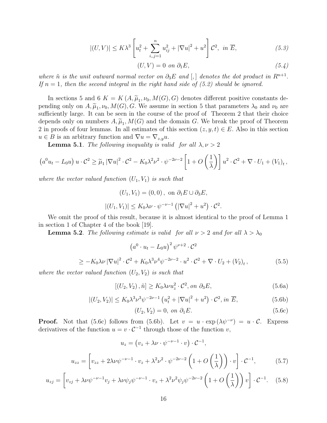$$
|(U,V)| \le K\lambda^3 \left[ u_t^2 + \sum_{i,j=1}^n u_{ij}^2 + |\nabla u|^2 + u^2 \right] \mathcal{C}^2, \text{ in } \overline{E}, \tag{5.3}
$$

$$
(U, V) = 0 \text{ on } \partial_1 E,
$$
\n
$$
(5.4)
$$

where  $\tilde{n}$  is the unit outward normal vector on  $\partial_3 E$  and  $[,$  denotes the dot product in  $R^{n+1}$ . If  $n = 1$ , then the second integral in the right hand side of (5.2) should be ignored.

In sections 5 and 6  $K = K(A, \tilde{\mu}_1, \nu_0, M(G), G)$  denotes different positive constants depending only on  $A, \tilde{\mu}_1, \nu_0, M(G), G$ . We assume in section 5 that parameters  $\lambda_0$  and  $\nu_0$  are sufficiently large. It can be seen in the course of the proof of Theorem 2 that their choice depends only on numbers  $A, \tilde{\mu}_1, M(G)$  and the domain G. We break the proof of Theorem 2 in proofs of four lemmas. In all estimates of this section  $(z, y, t) \in E$ . Also in this section  $u \in B$  is an arbitrary function and  $\nabla u = \nabla_{z,y} u$ .

**Lemma 5.1**. The following inequality is valid for all  $\lambda, \nu > 2$ 

$$
\left(a^0 u_t - L_0 u\right) u \cdot \mathcal{C}^2 \geq \widetilde{\mu}_1 |\nabla u|^2 \cdot \mathcal{C}^2 - K_0 \lambda^2 \nu^2 \cdot \psi^{-2\nu-2} \left[1 + O\left(\frac{1}{\lambda}\right)\right] u^2 \cdot \mathcal{C}^2 + \nabla \cdot U_1 + (V_1)_t,
$$

where the vector valued function  $(U_1, V_1)$  is such that

$$
(U_1, V_1) = (0, 0), \text{ on } \partial_1 E \cup \partial_3 E,
$$
  

$$
|(U_1, V_1)| \le K_0 \lambda \nu \cdot \psi^{-\nu - 1} \left( |\nabla u|^2 + u^2 \right) \cdot C^2
$$

We omit the proof of this result, because it is almost identical to the proof of Lemma 1 in section 1 of Chapter 4 of the book [19].

**Lemma 5.2**. The following estimate is valid for all  $\nu > 2$  and for all  $\lambda > \lambda_0$ 

$$
\left(a^{0}\cdot u_{t}-L_{0}u\right)^{2}\psi^{\nu+2}\cdot\mathcal{C}^{2}
$$

$$
\geq -K_0\lambda\nu\left|\nabla u\right|^2\cdot \mathcal{C}^2 + K_0\lambda^3\nu^4\psi^{-2\nu-2}\cdot u^2\cdot \mathcal{C}^2 + \nabla\cdot U_2 + (V_2)_t,\tag{5.5}
$$

where the vector valued function  $(U_2, V_2)$  is such that

$$
[(U_2, V_2), \tilde{n}] \ge K_0 \lambda \nu u_z^2 \cdot \mathcal{C}^2, \text{ on } \partial_3 E,
$$
\n
$$
(5.6a)
$$

$$
|(U_2, V_2)| \le K_0 \lambda^3 \nu^3 \psi^{-2\nu - 1} \left( u_t^2 + |\nabla u|^2 + u^2 \right) \cdot \mathcal{C}^2, \text{ in } \overline{E},
$$
\n(5.6b)

$$
(U_2, V_2) = 0, \text{ on } \partial_1 E. \tag{5.6c}
$$

.

**Proof.** Not that (5.6c) follows from (5.6b). Let  $v = u \cdot \exp(\lambda \psi^{-\nu}) = u \cdot C$ . Express derivatives of the function  $u = v \cdot C^{-1}$  through those of the function v,

$$
u_z = \left(v_z + \lambda \nu \cdot \psi^{-\nu - 1} \cdot v\right) \cdot \mathcal{C}^{-1},
$$
  

$$
u_{zz} = \left[v_{zz} + 2\lambda \nu \psi^{-\nu - 1} \cdot v_z + \lambda^2 \nu^2 \cdot \psi^{-2\nu - 2} \left(1 + O\left(\frac{1}{\lambda}\right)\right) \cdot v\right] \cdot \mathcal{C}^{-1},
$$
 (5.7)

$$
u_{zj} = \left[ v_{zj} + \lambda \nu \psi^{-\nu - 1} v_j + \lambda \nu \psi_j \psi^{-\nu - 1} \cdot v_z + \lambda^2 \nu^2 \psi_j \psi^{-2\nu - 2} \left( 1 + O\left(\frac{1}{\lambda}\right) \right) v \right] \cdot \mathcal{C}^{-1}.
$$
 (5.8)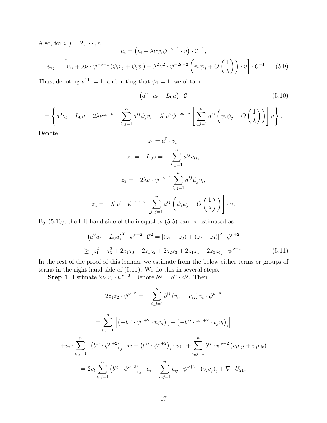Also, for  $i, j = 2, \dots, n$ 

so, for 
$$
i, j = 2, \dots, n
$$
  
\n
$$
u_i = (v_i + \lambda \nu \psi_i \psi^{-\nu - 1} \cdot v) \cdot C^{-1},
$$
\n
$$
u_{ij} = \left[ v_{ij} + \lambda \nu \cdot \psi^{-\nu - 1} \left( \psi_i v_j + \psi_j v_i \right) + \lambda^2 \nu^2 \cdot \psi^{-2\nu - 2} \left( \psi_i \psi_j + O \left( \frac{1}{\lambda} \right) \right) \cdot v \right] \cdot C^{-1}. \quad (5.9)
$$

Thus, denoting  $a^{11} := 1$ , and noting that  $\psi_1 = 1$ , we obtain

¡

$$
(a^0 \cdot u_t - L_0 u) \cdot \mathcal{C}
$$
 (5.10)

$$
= \left\{a^0v_t - L_0v - 2\lambda\nu\psi^{-\nu-1}\sum_{i,j=1}^n a^{ij}\psi_jv_i - \lambda^2\nu^2\psi^{-2\nu-2}\left[\sum_{i,j=1}^n a^{ij}\left(\psi_i\psi_j + O\left(\frac{1}{\lambda}\right)\right)\right]v\right\}.
$$

Denote

$$
z_1 = a^0 \cdot v_t,
$$
  
\n
$$
z_2 = -L_0 v = -\sum_{i,j=1}^n a^{ij} v_{ij},
$$
  
\n
$$
z_3 = -2\lambda \nu \cdot \psi^{-\nu-1} \sum_{i,j=1}^n a^{ij} \psi_j v_i,
$$
  
\n
$$
z_4 = -\lambda^2 \nu^2 \cdot \psi^{-2\nu-2} \left[ \sum_{i,j=1}^n a^{ij} \left( \psi_i \psi_j + O\left(\frac{1}{\lambda}\right) \right) \right] \cdot v.
$$

By (5.10), the left hand side of the inequality (5.5) can be estimated as

$$
(a^{0}u_{t} - L_{0}u)^{2} \cdot \psi^{\nu+2} \cdot C^{2} = [(z_{1} + z_{3}) + (z_{2} + z_{4})]^{2} \cdot \psi^{\nu+2}
$$
  
\n
$$
\geq [z_{1}^{2} + z_{3}^{2} + 2z_{1}z_{3} + 2z_{1}z_{2} + 2z_{2}z_{3} + 2z_{1}z_{4} + 2z_{3}z_{4}] \cdot \psi^{\nu+2}.
$$
\n(5.11)

In the rest of the proof of this lemma, we estimate from the below either terms or groups of terms in the right hand side of (5.11). We do this in several steps.

**Step 1**. Estimate  $2z_1z_2 \cdot \psi^{\nu+2}$ . Denote  $b^{ij} = a^0 \cdot a^{ij}$ . Then

$$
2z_1z_2 \cdot \psi^{\nu+2} = -\sum_{i,j=1}^n b^{ij} (v_{ij} + v_{ij}) v_t \cdot \psi^{\nu+2}
$$
  
= 
$$
\sum_{i,j=1}^n \left[ \left( -b^{ij} \cdot \psi^{\nu+2} \cdot v_i v_t \right)_j + \left( -b^{ij} \cdot \psi^{\nu+2} \cdot v_j v_t \right)_i \right]
$$
  
+ 
$$
v_t \cdot \sum_{i,j=1}^n \left[ \left( b^{ij} \cdot \psi^{\nu+2} \right)_j \cdot v_i + \left( b^{ij} \cdot \psi^{\nu+2} \right)_i \cdot v_j \right] + \sum_{i,j=1}^n b^{ij} \cdot \psi^{\nu+2} (v_i v_{jt} + v_j v_{it})
$$
  
= 
$$
2v_t \sum_{i,j=1}^n \left( b^{ij} \cdot \psi^{\nu+2} \right)_j \cdot v_i + \sum_{i,j=1}^n b_{ij} \cdot \psi^{\nu+2} \cdot (v_i v_j)_t + \nabla \cdot U_{21},
$$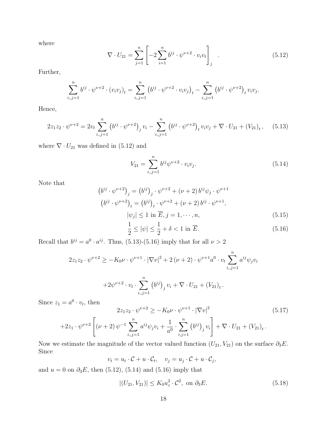where

$$
\nabla \cdot U_{21} = \sum_{j=1}^{n} \left[ -2 \sum_{i=1}^{n} b^{ij} \cdot \psi^{\nu+2} \cdot v_i v_t \right]_j
$$
 (5.12)

Further,

$$
\sum_{i,j=1}^n b^{ij} \cdot \psi^{\nu+2} \cdot (v_i v_j)_t = \sum_{i,j=1}^n (b^{ij} \cdot \psi^{\nu+2} \cdot v_i v_j)_t - \sum_{i,j=1}^n (b^{ij} \cdot \psi^{\nu+2})_t v_i v_j.
$$

Hence,

$$
2z_1z_2 \cdot \psi^{\nu+2} = 2v_t \sum_{i,j=1}^n \left(b^{ij} \cdot \psi^{\nu+2}\right)_j v_i - \sum_{i,j=1}^n \left(b^{ij} \cdot \psi^{\nu+2}\right)_t v_i v_j + \nabla \cdot U_{21} + \left(V_{21}\right)_t, \quad (5.13)
$$

where  $\nabla \cdot U_{21}$  was defined in (5.12) and

$$
V_{21} = \sum_{i,j=1}^{n} b^{ij} \psi^{\nu+2} \cdot v_i v_j.
$$
 (5.14)

Note that

$$
(b^{ij} \cdot \psi^{\nu+2})_j = (b^{ij})_j \cdot \psi^{\nu+2} + (\nu+2) b^{ij} \psi_j \cdot \psi^{\nu+1}
$$
  
\n
$$
(b^{ij} \cdot \psi^{\nu+2})_t = (b^{ij})_t \cdot \psi^{\nu+2} + (\nu+2) b^{ij} \cdot \psi^{\nu+1},
$$
  
\n
$$
|\psi_j| \le 1 \text{ in } \overline{E}, j = 1, \dots, n,
$$
  
\n(5.15)

$$
\frac{1}{2} \le |\psi| \le \frac{1}{2} + \delta < 1 \text{ in } \overline{E}.\tag{5.16}
$$

Recall that  $b^{ij} = a^0 \cdot a^{ij}$ . Thus, (5.13)-(5.16) imply that for all  $\nu > 2$ 

$$
2z_1z_2 \cdot \psi^{\nu+2} \ge -K_0 \nu \cdot \psi^{\nu+1} \cdot |\nabla v|^2 + 2(\nu+2) \cdot \psi^{\nu+1} a^0 \cdot v_t \sum_{i,j=1}^n a^{ij} \psi_j v_i
$$

$$
+ 2\psi^{\nu+2} \cdot v_t \cdot \sum_{i,j=1}^n (b^{ij})_j v_i + \nabla \cdot U_{21} + (V_{21})_t.
$$

Since  $z_1 = a^0 \cdot v_t$ , then

$$
2z_1z_2 \cdot \psi^{\nu+2} \ge -K_0 \nu \cdot \psi^{\nu+1} \cdot |\nabla v|^2
$$
\n
$$
+2z_1 \cdot \psi^{\nu+2} \left[ (\nu+2) \psi^{-1} \sum_{i,j=1}^n a^{ij} \psi_j v_i + \frac{1}{a^0} \cdot \sum_{i,j=1}^n (b^{ij})_j v_i \right] + \nabla \cdot U_{21} + (V_{21})_t.
$$
\n(5.17)

Now we estimate the magnitude of the vector valued function  $(U_{21}, V_{21})$  on the surface  $\partial_3 E$ . Since

$$
v_t = u_t \cdot C + u \cdot C_t, \quad v_j = u_j \cdot C + u \cdot C_j,
$$

and  $u = 0$  on  $\partial_3 E$ , then (5.12), (5.14) and (5.16) imply that

$$
|(U_{21}, V_{21})| \le K_0 u_z^2 \cdot \mathcal{C}^2, \text{ on } \partial_3 E. \tag{5.18}
$$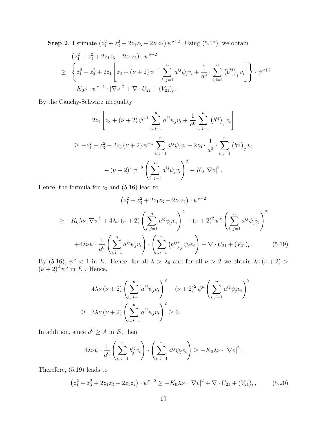**Step 2**. Estimate  $(z_1^2 + z_3^2 + 2z_1z_3 + 2z_1z_2) \psi^{\nu+2}$ . Using (5.17), we obtain

$$
(z_1^2 + z_3^2 + 2z_1z_3 + 2z_1z_2) \cdot \psi^{\nu+2}
$$
  
\n
$$
\geq \left\{ z_1^2 + z_3^2 + 2z_1 \left[ z_3 + (\nu + 2) \psi^{-1} \sum_{i,j=1}^n a^{ij} \psi_j v_i + \frac{1}{a^0} \cdot \sum_{i,j=1}^n (b^{ij})_j v_i \right] \right\} \cdot \psi^{\nu+2}
$$
  
\n
$$
-K_0 \nu \cdot \psi^{\nu+1} \cdot |\nabla v|^2 + \nabla \cdot U_{21} + (V_{21})_t.
$$

By the Cauchy-Schwarz inequality

$$
2z_{1}\left[z_{3} + (\nu + 2) \psi^{-1} \sum_{i,j=1}^{n} a^{ij} \psi_{j} v_{i} + \frac{1}{a^{0}} \sum_{i,j=1}^{n} (b^{ij})_{j} v_{i}\right]
$$
  
\n
$$
\geq -z_{1}^{2} - z_{3}^{2} - 2z_{3} (\nu + 2) \psi^{-1} \sum_{i,j=1}^{n} a^{ij} \psi_{j} v_{i} - 2z_{3} \cdot \frac{1}{a^{0}} \cdot \sum_{i,j=1}^{n} (b^{ij})_{j} v_{i}
$$
  
\n
$$
-(\nu + 2)^{2} \psi^{-2} \left(\sum_{i,j=1}^{n} a^{ij} \psi_{j} v_{i}\right)^{2} - K_{0} |\nabla v|^{2}.
$$

Hence, the formula for  $z_3$  and (5.16) lead to

$$
(z_1^2 + z_3^2 + 2z_1z_3 + 2z_1z_2) \cdot \psi^{\nu+2}
$$
  
\n
$$
\geq -K_0\lambda\nu |\nabla v|^2 + 4\lambda\nu (\nu+2) \left(\sum_{i,j=1}^n a^{ij}\psi_j v_i\right)^2 - (\nu+2)^2 \psi^{\nu} \left(\sum_{i,j=1}^n a^{ij}\psi_j v_i\right)^2
$$
  
\n
$$
+4\lambda\nu\psi \cdot \frac{1}{a^0} \left(\sum_{i,j=1}^n a^{ij}\psi_j v_i\right) \cdot \left(\sum_{i,j=1}^n (b^{ij})_j \psi_j v_i\right) + \nabla \cdot U_{21} + (V_{21})_t.
$$
 (5.19)

By (5.16),  $\psi^{\nu}$  < 1 in E. Hence, for all  $\lambda > \lambda_0$  and for all  $\nu > 2$  we obtain  $\lambda \nu (\nu + 2)$  $(\nu+2)^2 \psi^{\nu}$  in  $\overline{E}$ . Hence,

$$
4\lambda\nu\left(\nu+2\right)\left(\sum_{i,j=1}^{n}a^{ij}\psi_{j}v_{i}\right)^{2} - \left(\nu+2\right)^{2}\psi^{\nu}\left(\sum_{i,j=1}^{n}a^{ij}\psi_{j}v_{i}\right)^{2}
$$
  

$$
\geq 3\lambda\nu\left(\nu+2\right)\left(\sum_{i,j=1}^{n}a^{ij}\psi_{j}v_{i}\right)^{2} \geq 0.
$$

In addition, since  $a^0 \geq A$  in E, then

$$
4\lambda \nu \psi \cdot \frac{1}{a^0} \left( \sum_{i,j=1}^n b_j^{ij} v_i \right) \cdot \left( \sum_{i,j=1}^n a^{ij} \psi_j v_i \right) \ge -K_0 \lambda \nu \cdot |\nabla v|^2.
$$

Therefore, (5.19) leads to

$$
(z_1^2 + z_3^2 + 2z_1z_3 + 2z_1z_2) \cdot \psi^{\nu+2} \ge -K_0\lambda \nu \cdot |\nabla v|^2 + \nabla \cdot U_{21} + (V_{21})_t, \qquad (5.20)
$$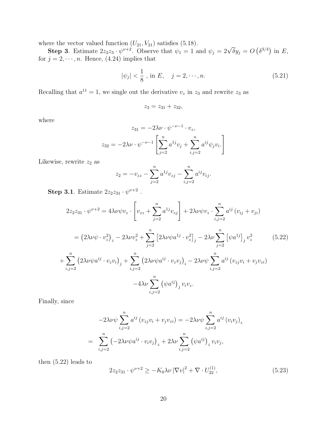where the vector valued function  $(U_{21}, V_{21})$  satisfies (5.18).

Step 3. Estimate  $2z_2z_3 \cdot \psi^{\nu+2}$ . Observe that  $\psi_1 = 1$  and  $\psi_j = 2\sqrt{\delta}y_j = O$ ¡  $\delta^{3/4}$ in  $E$ , for  $j = 2, \dots, n$ . Hence, (4.24) implies that

$$
|\psi_j| < \frac{1}{8}
$$
, in E,  $j = 2, \dots, n$ . (5.21)

Recalling that  $a^{11} = 1$ , we single out the derivative  $v_z$  in  $z_3$  and rewrite  $z_3$  as

$$
z_3 = z_{31} + z_{32},
$$

where

$$
z_{31} = -2\lambda \nu \cdot \psi^{-\nu - 1} \cdot v_z,
$$
  

$$
z_{32} = -2\lambda \nu \cdot \psi^{-\nu - 1} \left[ \sum_{j=2}^n a^{1j} v_j + \sum_{i,j=2}^n a^{ij} \psi_j v_i \right]
$$

Likewise, rewrite  $z_2$  as

$$
z_2 = -v_{zz} - \sum_{j=2}^n a^{1j} v_{zj} - \sum_{i,j=2}^n a^{ij} v_{ij}.
$$

Step 3.1. Estimate  $2z_2z_{31} \cdot \psi^{\nu+2}$ .

$$
2z_{2}z_{31} \cdot \psi^{\nu+2} = 4\lambda \nu \psi v_{z} \cdot \left[ v_{zz} + \sum_{j=2}^{n} a^{1j} v_{zj} \right] + 2\lambda \nu \psi v_{z} \cdot \sum_{i,j=2}^{n} a^{ij} (v_{ij} + v_{ji})
$$
  
\n
$$
= (2\lambda \nu \psi \cdot v_{z}^{2})_{z} - 2\lambda \nu v_{z}^{2} + \sum_{j=2}^{n} \left[ 2\lambda \nu \psi a^{1j} \cdot v_{z}^{2} \right]_{j} - 2\lambda \nu \sum_{j=2}^{n} \left[ \psi a^{1j} \right]_{j} v_{z}^{2} \qquad (5.22)
$$
  
\n
$$
+ \sum_{i,j=2}^{n} \left( 2\lambda \nu \psi a^{ij} \cdot v_{z} v_{i} \right)_{j} + \sum_{i,j=2}^{n} \left( 2\lambda \nu \psi a^{ij} \cdot v_{z} v_{j} \right)_{i} - 2\lambda \nu \psi \sum_{i,j=2}^{n} a^{ij} (v_{zj} v_{i} + v_{j} v_{zi})
$$
  
\n
$$
-4\lambda \nu \sum_{i,j=2}^{n} \left( \psi a^{ij} \right)_{j} v_{i} v_{z}.
$$

Finally, since

$$
-2\lambda\nu\psi\sum_{i,j=2}^{n}a^{ij}(v_{zj}v_i+v_jv_{zi})=-2\lambda\nu\psi\sum_{i,j=2}^{n}a^{ij}(v_iv_j)_z
$$

$$
=\sum_{i,j=2}^{n}\left(-2\lambda\nu\psi a^{ij}\cdot v_iv_j\right)_z+2\lambda\nu\sum_{i,j=2}^{n}\left(\psi a^{ij}\right)_z v_iv_j,
$$

then (5.22) leads to

$$
2z_2 z_{31} \cdot \psi^{\nu+2} \ge -K_0 \lambda \nu \left| \nabla v \right|^2 + \nabla \cdot U_{22}^{(1)},\tag{5.23}
$$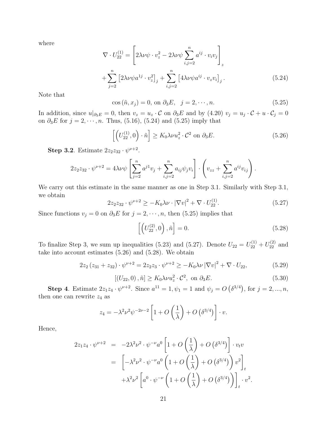where

$$
\nabla \cdot U_{22}^{(1)} = \left[ 2\lambda \nu \psi \cdot v_z^2 - 2\lambda \nu \psi \sum_{i,j=2}^n a^{ij} \cdot v_i v_j \right]_z
$$
  
+ 
$$
\sum_{j=2}^n \left[ 2\lambda \nu \psi a^{1j} \cdot v_z^2 \right]_j + \sum_{i,j=2}^n \left[ 4\lambda \nu \psi a^{ij} \cdot v_z v_i \right]_j.
$$
 (5.24)

Note that

$$
\cos\left(\tilde{n}, x_j\right) = 0, \text{ on } \partial_3 E, \quad j = 2, \cdots, n. \tag{5.25}
$$

In addition, since  $u|_{\partial_3 E} = 0$ , then  $v_z = u_z \cdot C$  on  $\partial_3 E$  and by  $(4.20)$   $v_j = u_j \cdot C + u \cdot C_j = 0$ on  $\partial_3 E$  for  $j = 2, \dots, n$ . Thus, (5.16), (5.24) and (5.25) imply that

$$
\left[ \left( U_{22}^{(1)}, 0 \right) \cdot \tilde{n} \right] \ge K_0 \lambda \nu u_z^2 \cdot \mathcal{C}^2 \text{ on } \partial_3 E. \tag{5.26}
$$

Step 3.2. Estimate  $2z_2z_{32} \cdot \psi^{\nu+2}$ .

$$
2z_2 z_{32} \cdot \psi^{\nu+2} = 4\lambda \nu \psi \left[ \sum_{j=2}^n a^{j1} v_j + \sum_{i,j=2}^n a_{ij} \psi_j v_i \right] \cdot \left( v_{zz} + \sum_{i,j=2}^n a^{ij} v_{ij} \right).
$$

We carry out this estimate in the same manner as one in Step 3.1. Similarly with Step 3.1, we obtain

$$
2z_2 z_{32} \cdot \psi^{\nu+2} \ge -K_0 \lambda \nu \cdot |\nabla v|^2 + \nabla \cdot U_{22}^{(1)}.
$$
 (5.27)

Since functions  $v_j = 0$  on  $\partial_3 E$  for  $j = 2, \dots, n$ , then (5.25) implies that

$$
\left[ \left( U_{22}^{(2)}, 0 \right), \tilde{n} \right] = 0. \tag{5.28}
$$

To finalize Step 3, we sum up inequalities (5.23) and (5.27). Denote  $U_{22} = U_{22}^{(1)} + U_{22}^{(2)}$  and take into account estimates (5.26) and (5.28). We obtain

$$
2z_2(z_{31} + z_{32}) \cdot \psi^{\nu+2} = 2z_2z_3 \cdot \psi^{\nu+2} \ge -K_0 \lambda \nu |\nabla v|^2 + \nabla \cdot U_{22},
$$
\n(5.29)

$$
[(U_{22}, 0), \tilde{n}] \ge K_0 \lambda \nu u_z^2 \cdot \mathcal{C}^2, \text{ on } \partial_3 E. \tag{5.30}
$$

**Step 4**. Estimate  $2z_1z_4 \cdot \psi^{\nu+2}$ . Since  $a^{11} = 1, \psi_1 = 1$  and  $\psi_j = O$  $\delta^{3/4}$ , for  $j = 2, ..., n$ , then one can rewrite  $z_4$  as

$$
z_4 = -\lambda^2 \nu^2 \psi^{-2\nu-2} \left[ 1 + O\left(\frac{1}{\lambda}\right) + O\left(\delta^{3/4}\right) \right] \cdot v.
$$

Hence,

$$
2z_1z_4 \cdot \psi^{\nu+2} = -2\lambda^2 \nu^2 \cdot \psi^{-\nu} a^0 \left[ 1 + O\left(\frac{1}{\lambda}\right) + O\left(\delta^{3/4}\right) \right] \cdot v_t v
$$
  

$$
= \left[ -\lambda^2 \nu^2 \cdot \psi^{-\nu} a^0 \left( 1 + O\left(\frac{1}{\lambda}\right) + O\left(\delta^{3/4}\right) \right) v^2 \right]_t
$$

$$
+ \lambda^2 \nu^2 \left[ a^0 \cdot \psi^{-\nu} \left( 1 + O\left(\frac{1}{\lambda}\right) + O\left(\delta^{3/4}\right) \right) \right]_t \cdot v^2.
$$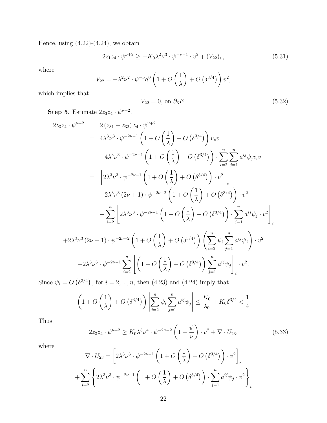Hence, using  $(4.22)-(4.24)$ , we obtain

$$
2z_1z_4 \cdot \psi^{\nu+2} \ge -K_0 \lambda^2 \nu^3 \cdot \psi^{-\nu-1} \cdot v^2 + (V_{22})_t, \tag{5.31}
$$

where

$$
V_{22} = -\lambda^2 \nu^2 \cdot \psi^{-\nu} a^0 \left( 1 + O\left(\frac{1}{\lambda}\right) + O\left(\delta^{3/4}\right) \right) v^2,
$$

which implies that

$$
V_{22} = 0, \text{ on } \partial_3 E. \tag{5.32}
$$

**Step 5**. Estimate  $2z_3z_4 \cdot \psi^{\nu+2}$ .

$$
2z_3z_4 \cdot \psi^{\nu+2} = 2(z_{31} + z_{32})z_4 \cdot \psi^{\nu+2}
$$
  
\n
$$
= 4\lambda^3 \nu^3 \cdot \psi^{-2\nu-1} \left(1 + O\left(\frac{1}{\lambda}\right) + O\left(\delta^{3/4}\right)\right) v_z v
$$
  
\n
$$
+4\lambda^3 \nu^3 \cdot \psi^{-2\nu-1} \left(1 + O\left(\frac{1}{\lambda}\right) + O\left(\delta^{3/4}\right)\right) \cdot \sum_{i=2}^n \sum_{j=1}^n a^{ij} \psi_j v_i v
$$
  
\n
$$
= \left[2\lambda^3 \nu^3 \cdot \psi^{-2\nu-1} \left(1 + O\left(\frac{1}{\lambda}\right) + O\left(\delta^{3/4}\right)\right) \cdot v^2\right]_z
$$
  
\n
$$
+2\lambda^3 \nu^3 (2\nu+1) \cdot \psi^{-2\nu-2} \left(1 + O\left(\frac{1}{\lambda}\right) + O\left(\delta^{3/4}\right)\right) \cdot v^2
$$
  
\n
$$
+ \sum_{i=2}^n \left[2\lambda^3 \nu^3 \cdot \psi^{-2\nu-1} \left(1 + O\left(\frac{1}{\lambda}\right) + O\left(\delta^{3/4}\right)\right) \cdot \sum_{j=1}^n a^{ij} \psi_j \cdot v^2\right]_i
$$
  
\n
$$
+2\lambda^3 \nu^3 (2\nu+1) \cdot \psi^{-2\nu-2} \left(1 + O\left(\frac{1}{\lambda}\right) + O\left(\delta^{3/4}\right)\right) \left(\sum_{i=2}^n \psi_i \sum_{j=1}^n a^{ij} \psi_j\right) \cdot v^2
$$
  
\n
$$
-2\lambda^3 \nu^3 \cdot \psi^{-2\nu-1} \sum_{i=2}^n \left[\left(1 + O\left(\frac{1}{\lambda}\right) + O\left(\delta^{3/4}\right)\right) \sum_{j=1}^n a^{ij} \psi_j\right]_i v^2.
$$

Since  $\psi_i = O$  $\delta^{3/4}$ , for  $i = 2, ..., n$ , then  $(4.23)$  and  $(4.24)$  imply that

$$
\left(1 + O\left(\frac{1}{\lambda}\right) + O\left(\delta^{3/4}\right)\right) \left| \sum_{i=2}^{n} \psi_i \sum_{j=1}^{n} a^{ij} \psi_j \right| \le \frac{K_0}{\lambda_0} + K_0 \delta^{3/4} < \frac{1}{4}
$$

Thus,

$$
2z_3z_4 \cdot \psi^{\nu+2} \ge K_0 \lambda^3 \nu^4 \cdot \psi^{-2\nu-2} \left(1 - \frac{\psi}{\nu}\right) \cdot v^2 + \nabla \cdot U_{23},\tag{5.33}
$$

where

$$
\nabla \cdot U_{23} = \left[ 2\lambda^3 \nu^3 \cdot \psi^{-2\nu-1} \left( 1 + O\left(\frac{1}{\lambda}\right) + O\left(\delta^{3/4}\right) \right) \cdot v^2 \right]_z
$$
  
+ 
$$
\sum_{i=2}^n \left\{ 2\lambda^3 \nu^3 \cdot \psi^{-2\nu-1} \left( 1 + O\left(\frac{1}{\lambda}\right) + O\left(\delta^{3/4}\right) \right) \cdot \sum_{j=1}^n a^{ij} \psi_j \cdot v^2 \right\}_i
$$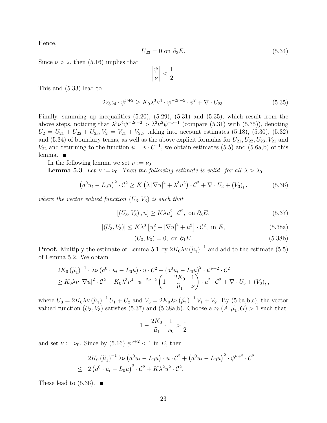Hence,

$$
U_{23} = 0 \text{ on } \partial_3 E. \tag{5.34}
$$

Since  $\nu > 2$ , then (5.16) implies that

$$
\left|\frac{\psi}{\nu}\right| < \frac{1}{2}.
$$

This and (5.33) lead to

$$
2z_3z_4 \cdot \psi^{\nu+2} \ge K_0 \lambda^3 \nu^4 \cdot \psi^{-2\nu-2} \cdot v^2 + \nabla \cdot U_{23}.
$$
 (5.35)

Finally, summing up inequalities (5.20), (5.29), (5.31) and (5.35), which result from the above steps, noticing that  $\lambda^3 \nu^4 \psi^{-2\nu-2} > \lambda^2 \nu^2 \psi^{-\nu-1}$  (compare (5.31) with (5.35)), denoting  $U_2 = U_{21} + U_{22} + U_{23}$ ,  $V_2 = V_{21} + V_{22}$ , taking into account estimates (5.18), (5.30), (5.32) and (5.34) of boundary terms, as well as the above explicit formulas for  $U_{21}, U_{22}, U_{23}, V_{21}$  and  $V_{22}$  and returning to the function  $u = v \cdot C^{-1}$ , we obtain estimates (5.5) and (5.6a,b) of this lemma.

In the following lemma we set  $\nu := \nu_0$ .

**Lemma 5.3**. Let  $\nu := \nu_0$ . Then the following estimate is valid for all  $\lambda > \lambda_0$ 

$$
\left(a^{0}u_{t}-L_{0}u\right)^{2}\cdot\mathcal{C}^{2}\geq K\left(\lambda\left|\nabla u\right|^{2}+\lambda^{3}u^{2}\right)\cdot\mathcal{C}^{2}+\nabla\cdot U_{3}+\left(V_{3}\right)_{t},\tag{5.36}
$$

where the vector valued function  $(U_3, V_3)$  is such that

$$
[(U_3, V_3), \tilde{n}] \ge K \lambda u_x^2 \cdot \mathcal{C}^2, \text{ on } \partial_3 E,
$$
\n
$$
(5.37)
$$

$$
|(U_3, V_3)| \le K\lambda^3 \left[u_z^2 + |\nabla u|^2 + u^2\right] \cdot \mathcal{C}^2, \text{ in } \overline{E}, \tag{5.38a}
$$

$$
(U_3, V_3) = 0, \text{ on } \partial_1 E. \tag{5.38b}
$$

**Proof.** Multiply the estimate of Lemma 5.1 by  $2K_0\lambda\nu(\tilde{\mu}_1)^{-1}$  and add to the estimate (5.5) of Lemma 5.2. We obtain

$$
2K_0 (\widetilde{\mu}_1)^{-1} \cdot \lambda \nu (a^0 \cdot u_t - L_0 u) \cdot u \cdot C^2 + (a^0 u_t - L_0 u)^2 \cdot \psi^{\nu+2} \cdot C^2
$$
  
\n
$$
\geq K_0 \lambda \nu |\nabla u|^2 \cdot C^2 + K_0 \lambda^3 \nu^4 \cdot \psi^{-2\nu-2} \left(1 - \frac{2K_0}{\widetilde{\mu}_1} \cdot \frac{1}{\nu}\right) \cdot u^2 \cdot C^2 + \nabla \cdot U_3 + (V_3)_t,
$$

where  $U_3 = 2K_0 \lambda \nu (\tilde{\mu}_1)^{-1} U_1 + U_2$  and  $V_3 = 2K_0 \lambda \nu (\tilde{\mu}_1)^{-1} V_1 + V_2$ . By (5.6a,b,c), the vector valued function  $(U_3, V_3)$  satisfies (5.37) and (5.38a,b). Choose a  $\nu_0(A, \tilde{\mu}_1, G) > 1$  such that

$$
1-\frac{2K_0}{\widetilde\mu_1}\cdot\frac{1}{\nu_0}>\frac{1}{2}
$$

and set  $\nu := \nu_0$ . Since by (5.16)  $\psi^{\nu+2} < 1$  in E, then

$$
2K_0 (\tilde{\mu}_1)^{-1} \lambda \nu \left( a^0 u_t - L_0 u \right) \cdot u \cdot C^2 + \left( a^0 u_t - L_0 u \right)^2 \cdot \psi^{\nu+2} \cdot C^2
$$
  
 
$$
\leq 2 \left( a^0 \cdot u_t - L_0 u \right)^2 \cdot C^2 + K \lambda^2 u^2 \cdot C^2.
$$

These lead to  $(5.36)$ .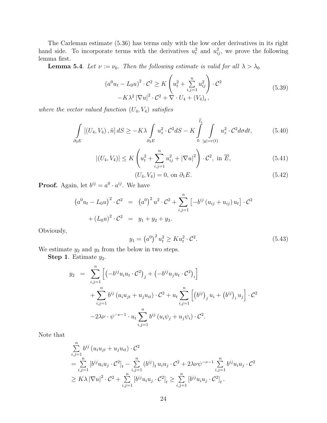The Carleman estimate (5.36) has terms only with the low order derivatives in its right hand side. To incorporate terms with the derivatives  $u_t^2$  and  $u_{ij}^2$ , we prove the following lemma first.

**Lemma 5.4**. Let  $\nu := \nu_0$ . Then the following estimate is valid for all  $\lambda > \lambda_0$ 

$$
(a^{0}u_{t} - L_{0}u)^{2} \cdot C^{2} \geq K \left(u_{t}^{2} + \sum_{i,j=1}^{n} u_{ij}^{2}\right) \cdot C^{2}
$$
  
- $K \lambda^{2} |\nabla u|^{2} \cdot C^{2} + \nabla \cdot U_{4} + (V_{4})_{t},$  (5.39)

where the vector valued function  $(U_4, V_4)$  satisfies

$$
\int_{\partial_3 E} \left[ (U_4, V_4), \tilde{n} \right] dS \ge -K\lambda \int_{\partial_3 E} u_z^2 \cdot \mathcal{C}^2 dS - K \int_{0}^{\tilde{t}_1} \int_{|y|=r(t)} u_z^2 \cdot \mathcal{C}^2 d\sigma dt, \tag{5.40}
$$

$$
|(U_4, V_4)| \le K \left( u_t^2 + \sum_{i,j=1}^n u_{ij}^2 + |\nabla u|^2 \right) \cdot \mathcal{C}^2, \text{ in } \overline{E}, \tag{5.41}
$$

$$
(U_4, V_4) = 0, \text{ on } \partial_1 E. \tag{5.42}
$$

**Proof.** Again, let  $b^{ij} = a^0 \cdot a^{ij}$ . We have

$$
(a^{0}u_{t} - L_{0}u)^{2} \cdot C^{2} = (a^{0})^{2} u^{2} \cdot C^{2} + \sum_{i,j=1}^{n} [-b^{ij} (u_{ij} + u_{ij}) u_{t}] \cdot C^{2}
$$

$$
+ (L_{0}u)^{2} \cdot C^{2} = y_{1} + y_{2} + y_{3}.
$$

Obviously,

$$
y_1 = (a^0)^2 u_t^2 \ge K u_t^2 \cdot C^2.
$$
 (5.43)

We estimate  $y_2$  and  $y_3$  from the below in two steps.

**Step 1.** Estimate  $y_2$ .

$$
y_2 = \sum_{i,j=1}^n \left[ \left( -b^{ij} u_i u_t \cdot C^2 \right)_j + \left( -b^{ij} u_j u_t \cdot C^2 \right)_i \right] + \sum_{i,j=1}^n b^{ij} \left( u_i u_{jt} + u_j u_{it} \right) \cdot C^2 + u_t \sum_{i,j=1}^n \left[ \left( b^{ij} \right)_j u_i + \left( b^{ij} \right)_i u_j \right] \cdot C^2 - 2\lambda \nu \cdot \psi^{-\nu-1} \cdot u_t \sum_{i,j=1}^n b^{ij} \left( u_i \psi_j + u_j \psi_i \right) \cdot C^2.
$$

Note that

$$
\sum_{i,j=1}^{n} b^{ij} (u_i u_{jt} + u_j u_{it}) \cdot C^2
$$
\n
$$
= \sum_{i,j=1}^{n} [b^{ij} u_i u_j \cdot C^2]_t - \sum_{i,j=1}^{n} (b^{ij})_t u_i u_j \cdot C^2 + 2\lambda \nu \psi^{-\nu-1} \sum_{i,j=1}^{n} b^{ij} u_i u_j \cdot C^2
$$
\n
$$
\geq K\lambda |\nabla u|^2 \cdot C^2 + \sum_{i,j=1}^{n} [b^{ij} u_i u_j \cdot C^2]_t \geq \sum_{i,j=1}^{n} [b^{ij} u_i u_j \cdot C^2]_t.
$$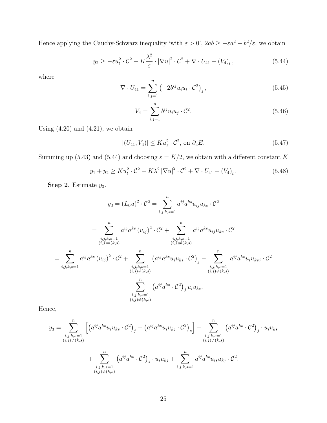Hence applying the Cauchy-Schwarz inequality 'with  $\varepsilon > 0$ ',  $2ab \ge -\varepsilon a^2 - b^2/\varepsilon$ , we obtain

$$
y_2 \ge -\varepsilon u_t^2 \cdot \mathcal{C}^2 - K \frac{\lambda^2}{\varepsilon} \cdot |\nabla u|^2 \cdot \mathcal{C}^2 + \nabla \cdot U_{41} + (V_4)_t, \tag{5.44}
$$

where

$$
\nabla \cdot U_{41} = \sum_{i,j=1}^{n} \left( -2b^{ij} u_i u_t \cdot C^2 \right)_j, \tag{5.45}
$$

$$
V_4 = \sum_{i,j=1}^n b^{ij} u_i u_j \cdot C^2.
$$
 (5.46)

Using  $(4.20)$  and  $(4.21)$ , we obtain

$$
|(U_{41}, V_4)| \leq Ku_z^2 \cdot \mathcal{C}^2, \text{ on } \partial_3 E. \tag{5.47}
$$

Summing up (5.43) and (5.44) and choosing  $\varepsilon = K/2$ , we obtain with a different constant K

$$
y_1 + y_2 \ge Ku_t^2 \cdot C^2 - K\lambda^2 |\nabla u|^2 \cdot C^2 + \nabla \cdot U_{41} + (V_4)_t. \tag{5.48}
$$

Step 2. Estimate  $y_3$ .

$$
y_3 = (L_0 u)^2 \cdot C^2 = \sum_{i,j,k,s=1}^n a^{ij} a^{ks} u_{ij} u_{ks} \cdot C^2
$$
  
\n
$$
= \sum_{\substack{i,j,k,s=1 \ (i,j)=(k,s)}}^n a^{ij} a^{ks} (u_{ij})^2 \cdot C^2 + \sum_{\substack{i,j,k,s=1 \ (i,j)\neq(k,s)}}^n a^{ij} a^{ks} u_{ij} u_{ks} \cdot C^2
$$
  
\n
$$
= \sum_{i,j,k,s=1}^n a^{ij} a^{ks} (u_{ij})^2 \cdot C^2 + \sum_{\substack{i,j,k,s=1 \ (i,j)\neq(k,s)}}^n (a^{ij} a^{ks} u_i u_{ks} \cdot C^2)_j - \sum_{\substack{i,j,k,s=1 \ (i,j)\neq(k,s)}}^n a^{ij} a^{ks} u_i u_{ksj} \cdot C^2
$$
  
\n
$$
- \sum_{\substack{i,j,k,s=1 \ (i,j)\neq(k,s)}}^n (a^{ij} a^{ks} \cdot C^2)_j u_i u_{ks}.
$$

Hence,

$$
y_3 = \sum_{\substack{i,j,k,s=1\\(i,j)\neq(k,s)}}^{n} \left[ \left( a^{ij} a^{ks} u_i u_{ks} \cdot C^2 \right)_j - \left( a^{ij} a^{ks} u_i u_{kj} \cdot C^2 \right)_s \right] - \sum_{\substack{i,j,k,s=1\\(i,j)\neq(k,s)}}^{n} \left( a^{ij} a^{ks} \cdot C^2 \right)_j \cdot u_i u_{ks}
$$
  
+ 
$$
\sum_{\substack{i,j,k,s=1\\(i,j)\neq(k,s)}}^{n} \left( a^{ij} a^{ks} \cdot C^2 \right)_s \cdot u_i u_{kj} + \sum_{\substack{i,j,k,s=1\\(i,j)\neq(k,s)}}^{n} a^{ij} a^{ks} u_{is} u_{kj} \cdot C^2.
$$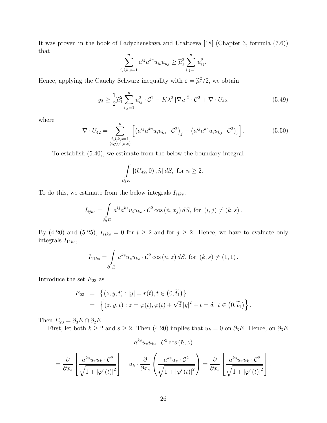It was proven in the book of Ladyzhenskaya and Uraltceva [18] (Chapter 3, formula (7.6)) that

$$
\sum_{i,j,k,s=1}^{n} a^{ij} a^{ks} u_{is} u_{kj} \ge \tilde{\mu}_1^2 \sum_{i,j=1}^{n} u_{ij}^2.
$$

Hence, applying the Cauchy Schwarz inequality with  $\varepsilon = \tilde{\mu}_1^2$  $\frac{2}{1}/2$ , we obtain

$$
y_3 \ge \frac{1}{2}\tilde{\mu}_1^2 \sum_{i,j=1}^n u_{ij}^2 \cdot \mathcal{C}^2 - K\lambda^2 |\nabla u|^2 \cdot \mathcal{C}^2 + \nabla \cdot U_{42},\tag{5.49}
$$

where

$$
\nabla \cdot U_{42} = \sum_{\substack{i,j,k,s=1\\(i,j)\neq(k,s)}}^{n} \left[ \left( a^{ij} a^{ks} u_i u_{ks} \cdot C^2 \right)_j - \left( a^{ij} a^{ks} u_i u_{kj} \cdot C^2 \right)_s \right]. \tag{5.50}
$$

To establish (5.40), we estimate from the below the boundary integral

$$
\int_{\partial_3 E} [(U_{42}, 0), \tilde{n}] dS, \text{ for } n \ge 2.
$$

To do this, we estimate from the below integrals  $I_{ijks}$ ,

$$
I_{ijks} = \int_{\partial_3 E} a^{ij} a^{ks} u_i u_{ks} \cdot C^2 \cos(\tilde{n}, x_j) dS, \text{ for } (i, j) \neq (k, s).
$$

By (4.20) and (5.25),  $I_{ijks} = 0$  for  $i \geq 2$  and for  $j \geq 2$ . Hence, we have to evaluate only integrals  $I_{11ks}$ ,

$$
I_{11ks} = \int_{\partial_3 E} a^{ks} u_z u_{ks} \cdot C^2 \cos(\tilde{n}, z) dS, \text{ for } (k, s) \neq (1, 1).
$$

Introduce the set  $E_{23}$  as

$$
E_{23} = \{(z, y, t) : |y| = r(t), t \in (0, \tilde{t}_1)\}
$$
  
=  $\{(z, y, t) : z = \varphi(t), \varphi(t) + \sqrt{\delta} |y|^2 + t = \delta, t \in (0, \tilde{t}_1)\}.$ 

Then  $E_{23} = \partial_3 E \cap \partial_2 E$ .

First, let both  $k \ge 2$  and  $s \ge 2$ . Then (4.20) implies that  $u_k = 0$  on  $\partial_3 E$ . Hence, on  $\partial_3 E$ 

$$
a^{ks}u_{z}u_{ks} \cdot C^{2}\cos(\tilde{n}, z)
$$
  
=  $\frac{\partial}{\partial x_{s}} \left[ \frac{a^{ks}u_{z}u_{k} \cdot C^{2}}{\sqrt{1 + \left[\varphi'(t)\right]^{2}}}\right] - u_{k} \cdot \frac{\partial}{\partial x_{s}} \left( \frac{a^{ks}u_{z} \cdot C^{2}}{\sqrt{1 + \left[\varphi'(t)\right]^{2}}}\right) = \frac{\partial}{\partial x_{s}} \left[ \frac{a^{ks}u_{z}u_{k} \cdot C^{2}}{\sqrt{1 + \left[\varphi'(t)\right]^{2}}}\right].$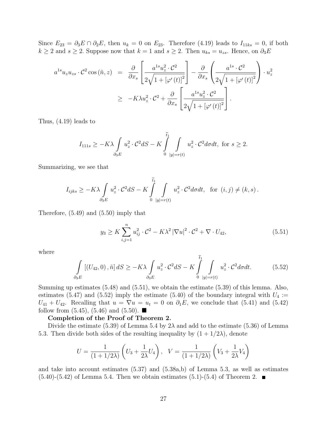Since  $E_{23} = \partial_3 E \cap \partial_2 E$ , then  $u_k = 0$  on  $E_{23}$ . Therefore (4.19) leads to  $I_{11ks} = 0$ , if both  $k \ge 2$  and  $s \ge 2$ . Suppose now that  $k = 1$  and  $s \ge 2$ . Then  $u_{ks} = u_{zs}$ . Hence, on  $\partial_3 E$ 

$$
a^{1s}u_{z}u_{zs} \cdot \mathcal{C}^{2} \cos(\tilde{n}, z) = \frac{\partial}{\partial x_{s}} \left[ \frac{a^{1s}u_{z}^{2} \cdot \mathcal{C}^{2}}{2\sqrt{1 + [\varphi'(t)]^{2}}} \right] - \frac{\partial}{\partial x_{s}} \left( \frac{a^{1s} \cdot \mathcal{C}^{2}}{2\sqrt{1 + [\varphi'(t)]^{2}}} \right) \cdot u_{z}^{2}
$$

$$
\geq -K\lambda u_{z}^{2} \cdot \mathcal{C}^{2} + \frac{\partial}{\partial x_{s}} \left[ \frac{a^{1s}u_{z}^{2} \cdot \mathcal{C}^{2}}{2\sqrt{1 + [\varphi'(t)]^{2}}} \right].
$$

Thus, (4.19) leads to

$$
I_{111s} \ge -K\lambda \int\limits_{\partial_3 E} u_z^2 \cdot \mathcal{C}^2 dS - K \int\limits_{0}^{\widetilde{t}_1} \int\limits_{|y|=r(t)} u_z^2 \cdot \mathcal{C}^2 d\sigma dt, \text{ for } s \ge 2.
$$

Summarizing, we see that

$$
I_{ijks} \ge -K\lambda \int_{\partial_3 E} u_z^2 \cdot C^2 dS - K \int_0^{\tilde{t}_1} \int_{|y|=r(t)} u_z^2 \cdot C^2 d\sigma dt, \text{ for } (i,j) \ne (k,s).
$$

Therefore, (5.49) and (5.50) imply that

$$
y_3 \ge K \sum_{i,j=1}^n u_{ij}^2 \cdot C^2 - K\lambda^2 |\nabla u|^2 \cdot C^2 + \nabla \cdot U_{42},
$$
\n(5.51)

where

$$
\int_{\partial_3 E} \left[ (U_{42}, 0), \tilde{n} \right] dS \ge -K\lambda \int_{\partial_3 E} u_z^2 \cdot \mathcal{C}^2 dS - K \int_0^{\tilde{t}_1} \int_{|y|=r(t)} u_z^2 \cdot \mathcal{C}^2 d\sigma dt. \tag{5.52}
$$

Summing up estimates (5.48) and (5.51), we obtain the estimate (5.39) of this lemma. Also, estimates (5.47) and (5.52) imply the estimate (5.40) of the boundary integral with  $U_4$  :=  $U_{41} + U_{42}$ . Recalling that  $u = \nabla u = u_t = 0$  on  $\partial_1 E$ , we conclude that (5.41) and (5.42) follow from  $(5.45)$ ,  $(5.46)$  and  $(5.50)$ .

#### Completion of the Proof of Theorem 2.

Divide the estimate (5.39) of Lemma 5.4 by  $2\lambda$  and add to the estimate (5.36) of Lemma 5.3. Then divide both sides of the resulting inequality by  $(1 + 1/2\lambda)$ , denote

$$
U = \frac{1}{(1 + 1/2\lambda)} \left( U_3 + \frac{1}{2\lambda} U_4 \right), \quad V = \frac{1}{(1 + 1/2\lambda)} \left( V_3 + \frac{1}{2\lambda} V_4 \right)
$$

and take into account estimates (5.37) and (5.38a,b) of Lemma 5.3, as well as estimates  $(5.40)$ - $(5.42)$  of Lemma 5.4. Then we obtain estimates  $(5.1)$ - $(5.4)$  of Theorem 2.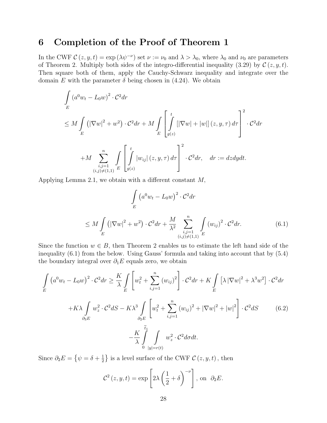# 6 Completion of the Proof of Theorem 1

In the CWF  $\mathcal{C}(z, y, t) = \exp(\lambda \psi^{-\nu})$  set  $\nu := \nu_0$  and  $\lambda > \lambda_0$ , where  $\lambda_0$  and  $\nu_0$  are parameters of Theorem 2. Multiply both sides of the integro-differential inequality (3.29) by  $\mathcal{C}(z, y, t)$ . Then square both of them, apply the Cauchy-Schwarz inequality and integrate over the domain E with the parameter  $\delta$  being chosen in (4.24). We obtain

$$
\int_{E} (a^0 w_t - L_0 w)^2 \cdot C^2 dr
$$
\n
$$
\leq M \int_{E} (|\nabla w|^2 + w^2) \cdot C^2 dr + M \int_{E} \left[ \int_{g(z)}^t [|\nabla w| + |w|] (z, y, \tau) d\tau \right]^2 \cdot C^2 dr
$$
\n
$$
+ M \sum_{\substack{i,j=1 \ (i,j) \neq (1,1)}}^n \int_{E} \left[ \int_{g(z)}^t |w_{ij}| (z, y, \tau) d\tau \right]^2 \cdot C^2 dr, \quad dr := dz dy dt.
$$

Applying Lemma 2.1, we obtain with a different constant M,

$$
\int_{E} (a^{0}w_{t} - L_{0}w)^{2} \cdot C^{2}dr
$$
\n
$$
\leq M \int_{E} (|\nabla w|^{2} + w^{2}) \cdot C^{2}dr + \frac{M}{\lambda^{2}} \sum_{\substack{i,j=1 \ (i,j) \neq (1,1)}}^{n} \int_{E} (w_{ij})^{2} \cdot C^{2}dr.
$$
\n(6.1)

Since the function  $w \in B$ , then Theorem 2 enables us to estimate the left hand side of the inequality (6.1) from the below. Using Gauss' formula and taking into account that by (5.4) the boundary integral over  $\partial_1 E$  equals zero, we obtain

$$
\int_{E} \left( a^{0}w_{t} - L_{0}w \right)^{2} \cdot \mathcal{C}^{2}dr \geq \frac{K}{\lambda} \int_{E} \left[ w_{t}^{2} + \sum_{i,j=1}^{n} \left( w_{ij} \right)^{2} \right] \cdot \mathcal{C}^{2}dr + K \int_{E} \left[ \lambda \left| \nabla w \right|^{2} + \lambda^{3}w^{2} \right] \cdot \mathcal{C}^{2}dr
$$
\n
$$
+ K\lambda \int_{\partial_{3}E} w_{z}^{2} \cdot \mathcal{C}^{2}dS - K\lambda^{3} \int_{\partial_{2}E} \left[ w_{t}^{2} + \sum_{i,j=1}^{n} \left( w_{ij} \right)^{2} + \left| \nabla w \right|^{2} + \left| w \right|^{2} \right] \cdot \mathcal{C}^{2}dS \qquad (6.2)
$$
\n
$$
- \frac{K}{\lambda} \int_{0}^{\tilde{t}_{1}} \int_{\left| y \right| = r(t)} w_{z}^{2} \cdot \mathcal{C}^{2}d\sigma dt.
$$

Since  $\partial_2 E =$  $\psi = \delta + \frac{1}{2}$ 2 is a level surface of the CWF  $\mathcal{C}(z, y, t)$ , then

$$
\mathcal{C}^{2}(z, y, t) = \exp \left[ 2\lambda \left( \frac{1}{2} + \delta \right)^{-\nu} \right], \text{ on } \partial_{2}E.
$$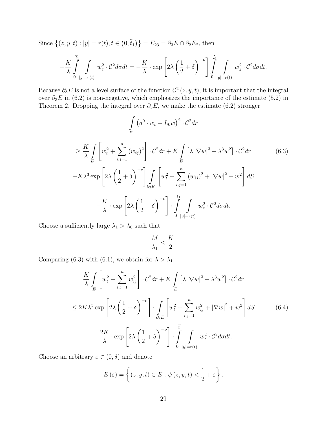Since  $\{(z, y, t) : |y| = r(t), t \in$  $(0, \tilde{t}_1)\} = E_{23} = \partial_3 E \cap \partial_2 E_2$ , then

$$
-\frac{K}{\lambda}\int\limits_{0}^{\widetilde{t}_1}\int\limits_{|y|=r(t)}w_{z}^{2}\cdot \mathcal{C}^2d\sigma dt=-\frac{K}{\lambda}\cdot \exp\left[2\lambda\left(\frac{1}{2}+\delta\right)^{-\nu}\right]\int\limits_{0}^{\widetilde{t}_1}\int\limits_{|y|=r(t)}w_{z}^{2}\cdot \mathcal{C}^2d\sigma dt.
$$

Because  $\partial_3 E$  is not a level surface of the function  $\mathcal{C}^2(z, y, t)$ , it is important that the integral over  $\partial_3 E$  in (6.2) is non-negative, which emphasizes the importance of the estimate (5.2) in Theorem 2. Dropping the integral over  $\partial_3 E$ , we make the estimate (6.2) stronger,

$$
\int_{E} \left( a^{0} \cdot w_{t} - L_{0} w \right)^{2} \cdot \mathcal{C}^{2} dr
$$
\n
$$
\geq \frac{K}{\lambda} \int_{E} \left[ w_{t}^{2} + \sum_{i,j=1}^{n} \left( w_{ij} \right)^{2} \right] \cdot \mathcal{C}^{2} dr + K \int_{E} \left[ \lambda \left| \nabla w \right|^{2} + \lambda^{3} w^{2} \right] \cdot \mathcal{C}^{2} dr \qquad (6.3)
$$
\n
$$
-K\lambda^{3} \exp \left[ 2\lambda \left( \frac{1}{2} + \delta \right)^{-\nu} \right] \int_{\partial_{2}E} \left[ w_{t}^{2} + \sum_{i,j=1}^{n} \left( w_{ij} \right)^{2} + \left| \nabla w \right|^{2} + w^{2} \right] dS
$$
\n
$$
- \frac{K}{\lambda} \cdot \exp \left[ 2\lambda \left( \frac{1}{2} + \delta \right)^{-\nu} \right] \cdot \int_{0}^{\tilde{t}_{1}} \int_{|y|=r(t)} w_{z}^{2} \cdot \mathcal{C}^{2} d\sigma dt.
$$

Choose a sufficiently large  $\lambda_1 > \lambda_0$  such that

$$
\frac{M}{\lambda_1} < \frac{K}{2}.
$$

Comparing (6.3) with (6.1), we obtain for  $\lambda > \lambda_1$ 

$$
\frac{K}{\lambda} \int_{E} \left[ w_t^2 + \sum_{i,j=1}^n w_{ij}^2 \right] \cdot C^2 dr + K \int_{E} \left[ \lambda |\nabla w|^2 + \lambda^3 w^2 \right] \cdot C^2 dr
$$
\n
$$
\leq 2K\lambda^3 \exp \left[ 2\lambda \left( \frac{1}{2} + \delta \right)^{-\nu} \right] \cdot \int_{\partial_2 E} \left[ w_t^2 + \sum_{i,j=1}^n w_{ij}^2 + |\nabla w|^2 + w^2 \right] dS \tag{6.4}
$$
\n
$$
+ \frac{2K}{\lambda} \cdot \exp \left[ 2\lambda \left( \frac{1}{2} + \delta \right)^{-\nu} \right] \cdot \int_{0}^{\tilde{t}_1} \int_{|y|=r(t)} w_z^2 \cdot C^2 d\sigma dt.
$$

Choose an arbitrary  $\varepsilon \in (0, \delta)$  and denote

$$
E(\varepsilon) = \left\{ (z, y, t) \in E : \psi(z, y, t) < \frac{1}{2} + \varepsilon \right\}.
$$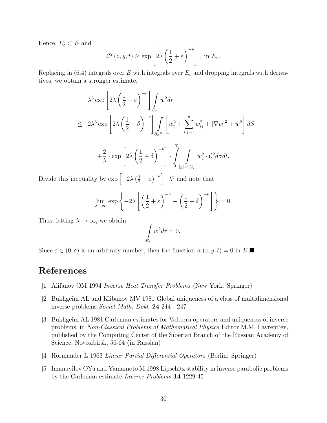Hence,  $E_{\varepsilon} \subset E$  and

$$
\mathcal{C}^{2}(z, y, t) \ge \exp\left[2\lambda \left(\frac{1}{2} + \varepsilon\right)^{-\nu}\right], \text{ in } E_{\varepsilon}.
$$

Replacing in (6.4) integrals over E with integrals over  $E_{\varepsilon}$  and dropping integrals with derivatives, we obtain a stronger estimate,

$$
\lambda^3 \exp \left[ 2\lambda \left( \frac{1}{2} + \varepsilon \right)^{-\nu} \right] \int_{E_{\varepsilon}} w^2 dr
$$
  
\n
$$
\leq 2\lambda^3 \exp \left[ 2\lambda \left( \frac{1}{2} + \delta \right)^{-\nu} \right] \int_{\partial_2 E} \left[ w_t^2 + \sum_{i,j=1}^n w_{ij}^2 + |\nabla w|^2 + w^2 \right] dS
$$
  
\n
$$
+ \frac{2}{\lambda} \cdot \exp \left[ 2\lambda \left( \frac{1}{2} + \delta \right)^{-\nu} \right] \cdot \int_{0}^{\tilde{t}_1} \int_{|y|=r(t)} w_z^2 \cdot C^2 d\sigma dt.
$$

Divide this inequality by  $\exp \left[-2\lambda\right]$  $\left(\frac{1}{2} + \varepsilon\right)$  $\vert -v \vert$  $\cdot$   $\lambda^3$  and note that

$$
\lim_{\lambda \to \infty} \exp \left\{-2\lambda \left[ \left(\frac{1}{2} + \varepsilon\right)^{-\nu} - \left(\frac{1}{2} + \delta\right)^{-\nu} \right] \right\} = 0.
$$

Thus, letting  $\lambda \to \infty$ , we obtain

$$
\int\limits_{E_{\varepsilon}} w^2 dr = 0.
$$

Since  $\varepsilon \in (0, \delta)$  is an arbitrary number, then the function  $w(z, y, t) = 0$  in E.

# References

- [1] Alifanov OM 1994 Inverse Heat Transfer Problems (New York: Springer)
- [2] Bukhgeim AL and Klibanov MV 1981 Global uniqueness of a class of multidimensional inverse problems Soviet Math. Dokl. 24 244 - 247
- [3] Bukhgeim AL 1981 Carleman estimates for Volterra operators and uniqueness of inverse problems, in Non-Classical Problems of Mathematical Physics Editor M.M. Lavrent'ev, published by the Computing Center of the Siberian Branch of the Russian Academy of Science, Novosibirsk, 56-64 (in Russian)
- [4] Hörmander L 1963 Linear Partial Differential Operators (Berlin: Springer)
- [5] Imanuvilov OYu and Yamamoto M 1998 Lipschitz stability in inverse parabolic problems by the Carleman estimate Inverse Problems 14 1229-45